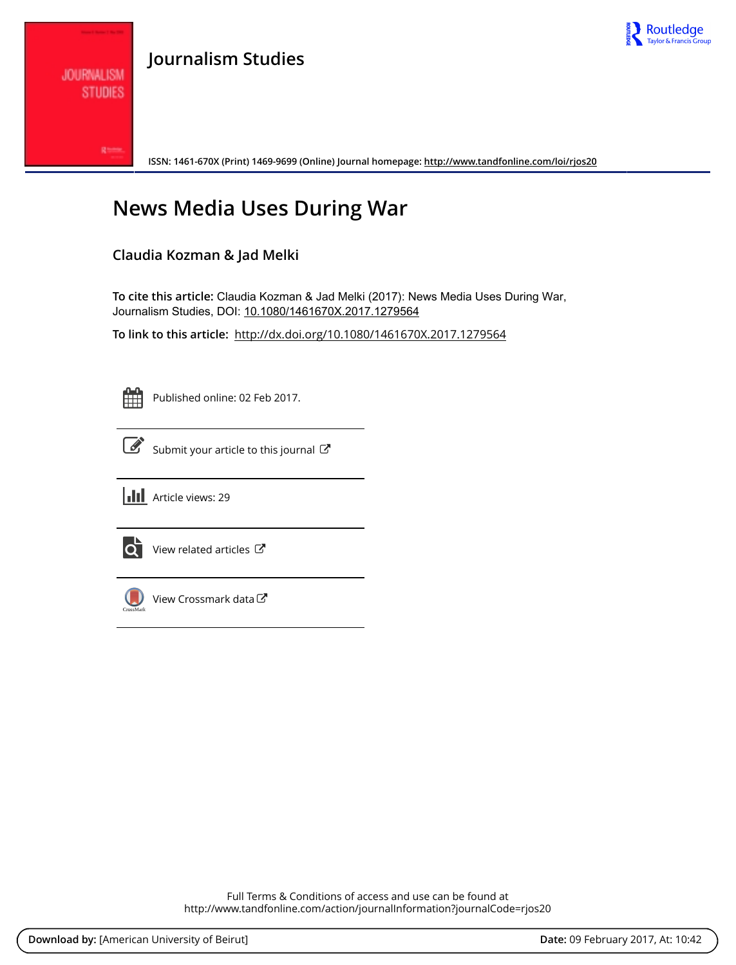

## **Journalism Studies**

**ISSN: 1461-670X (Print) 1469-9699 (Online) Journal homepage: <http://www.tandfonline.com/loi/rjos20>**

# **News Media Uses During War**

### **Claudia Kozman & Jad Melki**

**To cite this article:** Claudia Kozman & Jad Melki (2017): News Media Uses During War, Journalism Studies, DOI: [10.1080/1461670X.2017.1279564](http://www.tandfonline.com/action/showCitFormats?doi=10.1080/1461670X.2017.1279564)

**To link to this article:** <http://dx.doi.org/10.1080/1461670X.2017.1279564>

**JOURNALISM STUDIES** 

Published online: 02 Feb 2017.



 $\overrightarrow{S}$  [Submit your article to this journal](http://www.tandfonline.com/action/authorSubmission?journalCode=rjos20&show=instructions)  $\overrightarrow{S}$ 





[View related articles](http://www.tandfonline.com/doi/mlt/10.1080/1461670X.2017.1279564) C



[View Crossmark data](http://crossmark.crossref.org/dialog/?doi=10.1080/1461670X.2017.1279564&domain=pdf&date_stamp=2017-02-02)  $\sigma$ 

Full Terms & Conditions of access and use can be found at <http://www.tandfonline.com/action/journalInformation?journalCode=rjos20>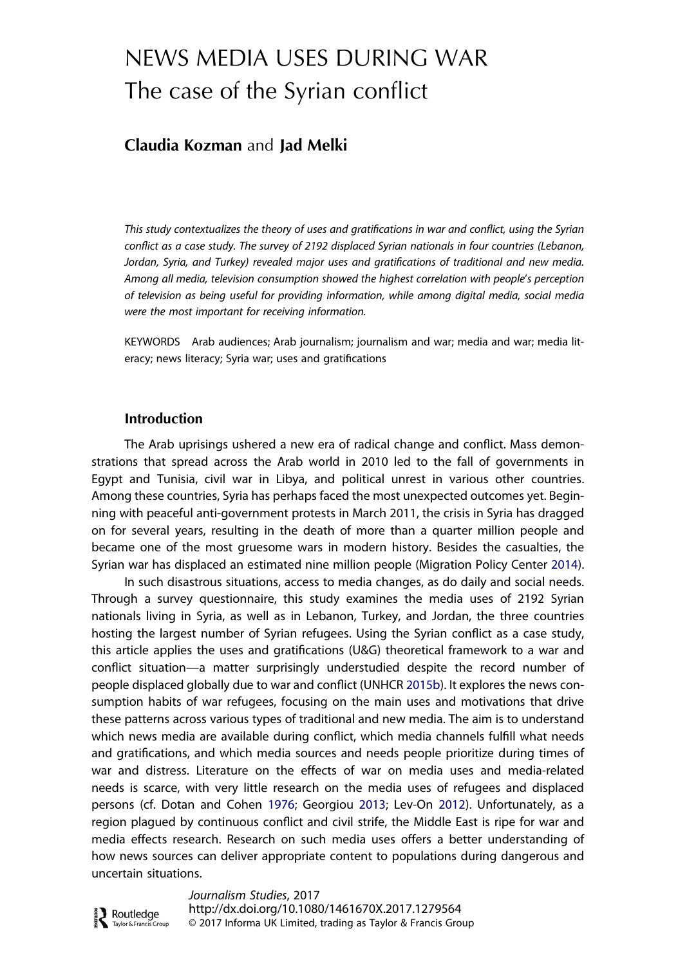## <span id="page-1-0"></span>NEWS MEDIA USES DURING WAR The case of the Syrian conflict

### Claudia Kozman and Jad Melki

This study contextualizes the theory of uses and gratifications in war and conflict, using the Syrian conflict as a case study. The survey of 2192 displaced Syrian nationals in four countries (Lebanon, Jordan, Syria, and Turkey) revealed major uses and gratifications of traditional and new media. Among all media, television consumption showed the highest correlation with people's perception of television as being useful for providing information, while among digital media, social media were the most important for receiving information.

KEYWORDS Arab audiences; Arab journalism; journalism and war; media and war; media literacy; news literacy; Syria war; uses and gratifications

#### Introduction

**D** Routledge

The Arab uprisings ushered a new era of radical change and conflict. Mass demonstrations that spread across the Arab world in 2010 led to the fall of governments in Egypt and Tunisia, civil war in Libya, and political unrest in various other countries. Among these countries, Syria has perhaps faced the most unexpected outcomes yet. Beginning with peaceful anti-government protests in March 2011, the crisis in Syria has dragged on for several years, resulting in the death of more than a quarter million people and became one of the most gruesome wars in modern history. Besides the casualties, the Syrian war has displaced an estimated nine million people (Migration Policy Center [2014\)](#page-21-0).

In such disastrous situations, access to media changes, as do daily and social needs. Through a survey questionnaire, this study examines the media uses of 2192 Syrian nationals living in Syria, as well as in Lebanon, Turkey, and Jordan, the three countries hosting the largest number of Syrian refugees. Using the Syrian conflict as a case study, this article applies the uses and gratifications (U&G) theoretical framework to a war and conflict situation—a matter surprisingly understudied despite the record number of people displaced globally due to war and conflict (UNHCR [2015b](#page-22-0)). It explores the news consumption habits of war refugees, focusing on the main uses and motivations that drive these patterns across various types of traditional and new media. The aim is to understand which news media are available during conflict, which media channels fulfill what needs and gratifications, and which media sources and needs people prioritize during times of war and distress. Literature on the effects of war on media uses and media-related needs is scarce, with very little research on the media uses of refugees and displaced persons (cf. Dotan and Cohen [1976](#page-19-0); Georgiou [2013;](#page-19-0) Lev-On [2012\)](#page-21-0). Unfortunately, as a region plagued by continuous conflict and civil strife, the Middle East is ripe for war and media effects research. Research on such media uses offers a better understanding of how news sources can deliver appropriate content to populations during dangerous and uncertain situations.

Journalism Studies, 2017 http://dx.doi.org/10.1080/1461670X.2017.1279564 © 2017 Informa UK Limited, trading as Taylor & Francis GroupTaylor & Francis Group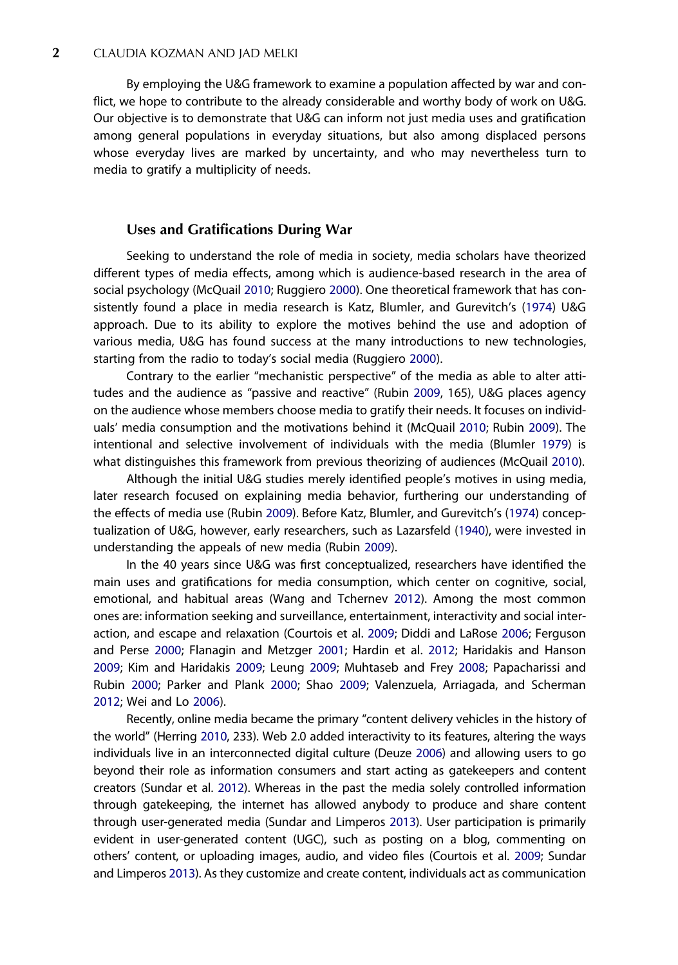<span id="page-2-0"></span>By employing the U&G framework to examine a population affected by war and conflict, we hope to contribute to the already considerable and worthy body of work on U&G. Our objective is to demonstrate that U&G can inform not just media uses and gratification among general populations in everyday situations, but also among displaced persons whose everyday lives are marked by uncertainty, and who may nevertheless turn to media to gratify a multiplicity of needs.

#### Uses and Gratifications During War

Seeking to understand the role of media in society, media scholars have theorized different types of media effects, among which is audience-based research in the area of social psychology (McQuail [2010](#page-21-0); Ruggiero [2000](#page-22-0)). One theoretical framework that has consistently found a place in media research is Katz, Blumler, and Gurevitch's [\(1974\)](#page-20-0) U&G approach. Due to its ability to explore the motives behind the use and adoption of various media, U&G has found success at the many introductions to new technologies, starting from the radio to today's social media (Ruggiero [2000\)](#page-22-0).

Contrary to the earlier "mechanistic perspective" of the media as able to alter attitudes and the audience as "passive and reactive" (Rubin [2009,](#page-22-0) 165), U&G places agency on the audience whose members choose media to gratify their needs. It focuses on individuals' media consumption and the motivations behind it (McQuail [2010;](#page-21-0) Rubin [2009](#page-22-0)). The intentional and selective involvement of individuals with the media (Blumler [1979](#page-19-0)) is what distinguishes this framework from previous theorizing of audiences (McQuail [2010\)](#page-21-0).

Although the initial U&G studies merely identified people's motives in using media, later research focused on explaining media behavior, furthering our understanding of the effects of media use (Rubin [2009\)](#page-22-0). Before Katz, Blumler, and Gurevitch's [\(1974\)](#page-20-0) conceptualization of U&G, however, early researchers, such as Lazarsfeld ([1940](#page-20-0)), were invested in understanding the appeals of new media (Rubin [2009\)](#page-22-0).

In the 40 years since U&G was first conceptualized, researchers have identified the main uses and gratifications for media consumption, which center on cognitive, social, emotional, and habitual areas (Wang and Tchernev [2012](#page-22-0)). Among the most common ones are: information seeking and surveillance, entertainment, interactivity and social interaction, and escape and relaxation (Courtois et al. [2009](#page-19-0); Diddi and LaRose [2006;](#page-19-0) Ferguson and Perse [2000](#page-19-0); Flanagin and Metzger [2001;](#page-19-0) Hardin et al. [2012](#page-19-0); Haridakis and Hanson [2009](#page-19-0); Kim and Haridakis [2009;](#page-20-0) Leung [2009;](#page-21-0) Muhtaseb and Frey [2008](#page-21-0); Papacharissi and Rubin [2000](#page-21-0); Parker and Plank [2000](#page-21-0); Shao [2009;](#page-22-0) Valenzuela, Arriagada, and Scherman [2012](#page-22-0); Wei and Lo [2006\)](#page-22-0).

Recently, online media became the primary "content delivery vehicles in the history of the world" (Herring [2010](#page-20-0), 233). Web 2.0 added interactivity to its features, altering the ways individuals live in an interconnected digital culture (Deuze [2006\)](#page-19-0) and allowing users to go beyond their role as information consumers and start acting as gatekeepers and content creators (Sundar et al. [2012\)](#page-22-0). Whereas in the past the media solely controlled information through gatekeeping, the internet has allowed anybody to produce and share content through user-generated media (Sundar and Limperos [2013\)](#page-22-0). User participation is primarily evident in user-generated content (UGC), such as posting on a blog, commenting on others' content, or uploading images, audio, and video files (Courtois et al. [2009;](#page-19-0) Sundar and Limperos [2013](#page-22-0)). As they customize and create content, individuals act as communication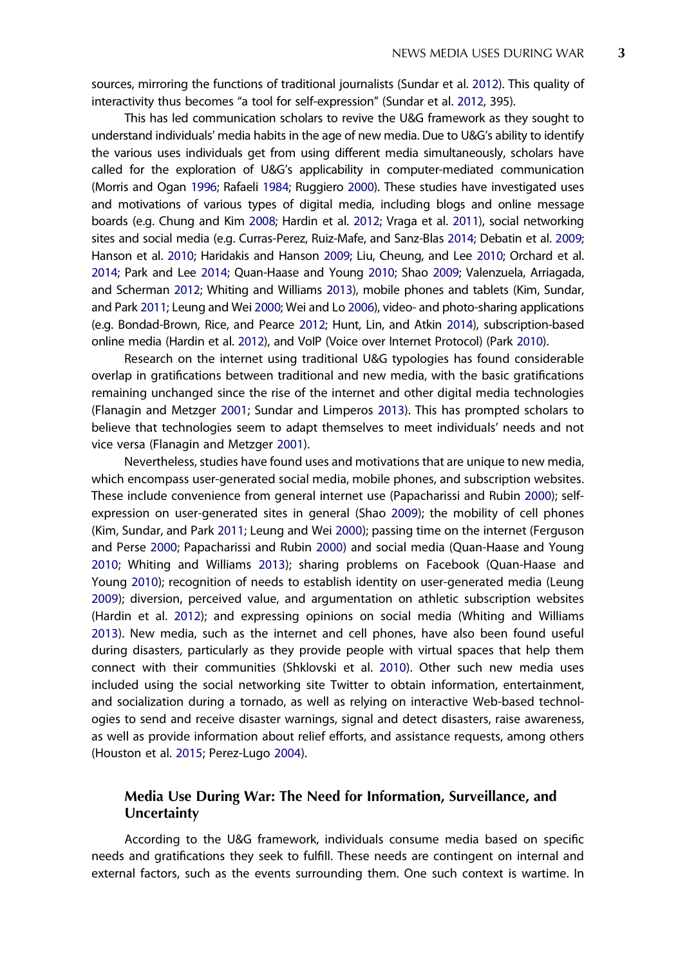<span id="page-3-0"></span>sources, mirroring the functions of traditional journalists (Sundar et al. [2012\)](#page-22-0). This quality of interactivity thus becomes "a tool for self-expression" (Sundar et al. [2012,](#page-22-0) 395).

This has led communication scholars to revive the U&G framework as they sought to understand individuals' media habits in the age of new media. Due to U&G's ability to identify the various uses individuals get from using different media simultaneously, scholars have called for the exploration of U&G's applicability in computer-mediated communication (Morris and Ogan [1996;](#page-21-0) Rafaeli [1984](#page-21-0); Ruggiero [2000](#page-22-0)). These studies have investigated uses and motivations of various types of digital media, including blogs and online message boards (e.g. Chung and Kim [2008](#page-19-0); Hardin et al. [2012](#page-19-0); Vraga et al. [2011](#page-22-0)), social networking sites and social media (e.g. Curras-Perez, Ruiz-Mafe, and Sanz-Blas [2014;](#page-19-0) Debatin et al. [2009](#page-19-0); Hanson et al. [2010;](#page-19-0) Haridakis and Hanson [2009;](#page-19-0) Liu, Cheung, and Lee [2010;](#page-21-0) Orchard et al. [2014;](#page-21-0) Park and Lee [2014](#page-21-0); Quan-Haase and Young [2010](#page-21-0); Shao [2009](#page-22-0); Valenzuela, Arriagada, and Scherman [2012;](#page-22-0) Whiting and Williams [2013\)](#page-22-0), mobile phones and tablets (Kim, Sundar, and Park [2011](#page-20-0); Leung and Wei [2000](#page-21-0); Wei and Lo [2006](#page-22-0)), video- and photo-sharing applications (e.g. Bondad-Brown, Rice, and Pearce [2012;](#page-19-0) Hunt, Lin, and Atkin [2014](#page-20-0)), subscription-based online media (Hardin et al. [2012](#page-19-0)), and VoIP (Voice over Internet Protocol) (Park [2010](#page-21-0)).

Research on the internet using traditional U&G typologies has found considerable overlap in gratifications between traditional and new media, with the basic gratifications remaining unchanged since the rise of the internet and other digital media technologies (Flanagin and Metzger [2001](#page-19-0); Sundar and Limperos [2013](#page-22-0)). This has prompted scholars to believe that technologies seem to adapt themselves to meet individuals' needs and not vice versa (Flanagin and Metzger [2001\)](#page-19-0).

Nevertheless, studies have found uses and motivations that are unique to new media, which encompass user-generated social media, mobile phones, and subscription websites. These include convenience from general internet use (Papacharissi and Rubin [2000](#page-21-0)); selfexpression on user-generated sites in general (Shao [2009](#page-22-0)); the mobility of cell phones (Kim, Sundar, and Park [2011;](#page-20-0) Leung and Wei [2000\)](#page-21-0); passing time on the internet (Ferguson and Perse [2000;](#page-19-0) Papacharissi and Rubin [2000\)](#page-21-0) and social media (Quan-Haase and Young [2010](#page-21-0); Whiting and Williams [2013\)](#page-22-0); sharing problems on Facebook (Quan-Haase and Young [2010](#page-21-0)); recognition of needs to establish identity on user-generated media (Leung [2009](#page-21-0)); diversion, perceived value, and argumentation on athletic subscription websites (Hardin et al. [2012](#page-19-0)); and expressing opinions on social media (Whiting and Williams [2013](#page-22-0)). New media, such as the internet and cell phones, have also been found useful during disasters, particularly as they provide people with virtual spaces that help them connect with their communities (Shklovski et al. [2010\)](#page-22-0). Other such new media uses included using the social networking site Twitter to obtain information, entertainment, and socialization during a tornado, as well as relying on interactive Web-based technologies to send and receive disaster warnings, signal and detect disasters, raise awareness, as well as provide information about relief efforts, and assistance requests, among others (Houston et al. [2015](#page-20-0); Perez-Lugo [2004\)](#page-21-0).

#### Media Use During War: The Need for Information, Surveillance, and **Uncertainty**

According to the U&G framework, individuals consume media based on specific needs and gratifications they seek to fulfill. These needs are contingent on internal and external factors, such as the events surrounding them. One such context is wartime. In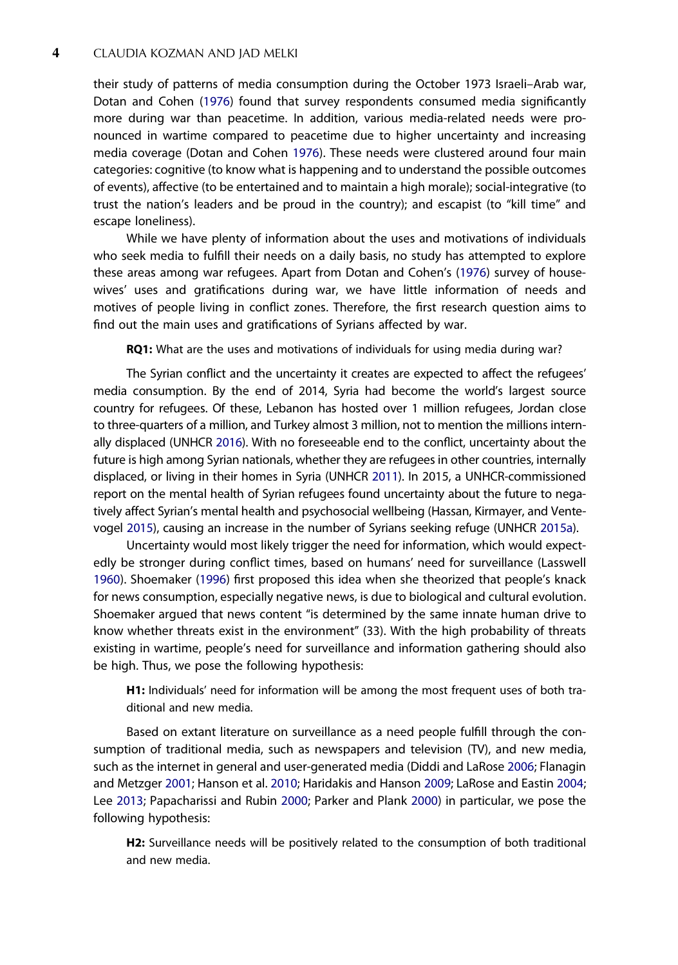<span id="page-4-0"></span>their study of patterns of media consumption during the October 1973 Israeli–Arab war, Dotan and Cohen ([1976](#page-19-0)) found that survey respondents consumed media significantly more during war than peacetime. In addition, various media-related needs were pronounced in wartime compared to peacetime due to higher uncertainty and increasing media coverage (Dotan and Cohen [1976](#page-19-0)). These needs were clustered around four main categories: cognitive (to know what is happening and to understand the possible outcomes of events), affective (to be entertained and to maintain a high morale); social-integrative (to trust the nation's leaders and be proud in the country); and escapist (to "kill time" and escape loneliness).

While we have plenty of information about the uses and motivations of individuals who seek media to fulfill their needs on a daily basis, no study has attempted to explore these areas among war refugees. Apart from Dotan and Cohen's ([1976\)](#page-19-0) survey of housewives' uses and gratifications during war, we have little information of needs and motives of people living in conflict zones. Therefore, the first research question aims to find out the main uses and gratifications of Syrians affected by war.

RQ1: What are the uses and motivations of individuals for using media during war?

The Syrian conflict and the uncertainty it creates are expected to affect the refugees' media consumption. By the end of 2014, Syria had become the world's largest source country for refugees. Of these, Lebanon has hosted over 1 million refugees, Jordan close to three-quarters of a million, and Turkey almost 3 million, not to mention the millions internally displaced (UNHCR [2016](#page-22-0)). With no foreseeable end to the conflict, uncertainty about the future is high among Syrian nationals, whether they are refugees in other countries, internally displaced, or living in their homes in Syria (UNHCR [2011\)](#page-22-0). In 2015, a UNHCR-commissioned report on the mental health of Syrian refugees found uncertainty about the future to negatively affect Syrian's mental health and psychosocial wellbeing (Hassan, Kirmayer, and Ventevogel [2015](#page-19-0)), causing an increase in the number of Syrians seeking refuge (UNHCR [2015a\)](#page-22-0).

Uncertainty would most likely trigger the need for information, which would expectedly be stronger during conflict times, based on humans' need for surveillance (Lasswell [1960](#page-20-0)). Shoemaker [\(1996\)](#page-22-0) first proposed this idea when she theorized that people's knack for news consumption, especially negative news, is due to biological and cultural evolution. Shoemaker argued that news content "is determined by the same innate human drive to know whether threats exist in the environment" (33). With the high probability of threats existing in wartime, people's need for surveillance and information gathering should also be high. Thus, we pose the following hypothesis:

H1: Individuals' need for information will be among the most frequent uses of both traditional and new media.

Based on extant literature on surveillance as a need people fulfill through the consumption of traditional media, such as newspapers and television (TV), and new media, such as the internet in general and user-generated media (Diddi and LaRose [2006;](#page-19-0) Flanagin and Metzger [2001;](#page-19-0) Hanson et al. [2010](#page-19-0); Haridakis and Hanson [2009](#page-19-0); LaRose and Eastin [2004;](#page-20-0) Lee [2013](#page-20-0); Papacharissi and Rubin [2000](#page-21-0); Parker and Plank [2000\)](#page-21-0) in particular, we pose the following hypothesis:

H<sub>2</sub>: Surveillance needs will be positively related to the consumption of both traditional and new media.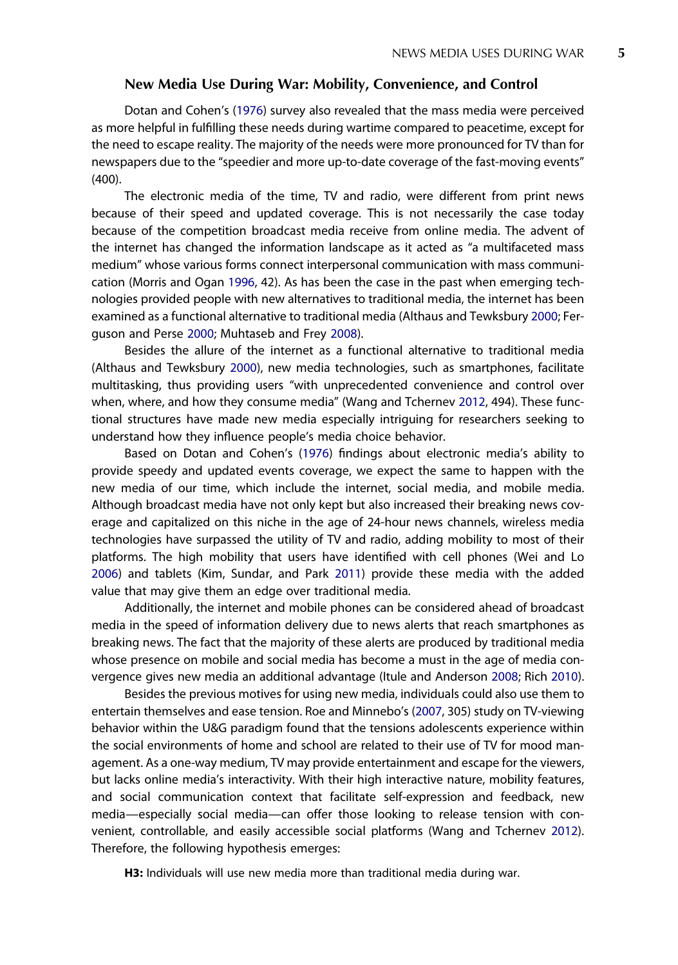#### New Media Use During War: Mobility, Convenience, and Control

<span id="page-5-0"></span>Dotan and Cohen's [\(1976](#page-19-0)) survey also revealed that the mass media were perceived as more helpful in fulfilling these needs during wartime compared to peacetime, except for the need to escape reality. The majority of the needs were more pronounced for TV than for newspapers due to the "speedier and more up-to-date coverage of the fast-moving events" (400).

The electronic media of the time, TV and radio, were different from print news because of their speed and updated coverage. This is not necessarily the case today because of the competition broadcast media receive from online media. The advent of the internet has changed the information landscape as it acted as "a multifaceted mass medium" whose various forms connect interpersonal communication with mass communication (Morris and Ogan [1996](#page-21-0), 42). As has been the case in the past when emerging technologies provided people with new alternatives to traditional media, the internet has been examined as a functional alternative to traditional media (Althaus and Tewksbury [2000](#page-18-0); Ferguson and Perse [2000;](#page-19-0) Muhtaseb and Frey [2008\)](#page-21-0).

Besides the allure of the internet as a functional alternative to traditional media (Althaus and Tewksbury [2000\)](#page-18-0), new media technologies, such as smartphones, facilitate multitasking, thus providing users "with unprecedented convenience and control over when, where, and how they consume media" (Wang and Tchernev [2012](#page-22-0), 494). These functional structures have made new media especially intriguing for researchers seeking to understand how they influence people's media choice behavior.

Based on Dotan and Cohen's [\(1976](#page-19-0)) findings about electronic media's ability to provide speedy and updated events coverage, we expect the same to happen with the new media of our time, which include the internet, social media, and mobile media. Although broadcast media have not only kept but also increased their breaking news coverage and capitalized on this niche in the age of 24-hour news channels, wireless media technologies have surpassed the utility of TV and radio, adding mobility to most of their platforms. The high mobility that users have identified with cell phones (Wei and Lo [2006](#page-22-0)) and tablets (Kim, Sundar, and Park [2011](#page-20-0)) provide these media with the added value that may give them an edge over traditional media.

Additionally, the internet and mobile phones can be considered ahead of broadcast media in the speed of information delivery due to news alerts that reach smartphones as breaking news. The fact that the majority of these alerts are produced by traditional media whose presence on mobile and social media has become a must in the age of media convergence gives new media an additional advantage (Itule and Anderson [2008](#page-20-0); Rich [2010\)](#page-21-0).

Besides the previous motives for using new media, individuals could also use them to entertain themselves and ease tension. Roe and Minnebo's [\(2007,](#page-21-0) 305) study on TV-viewing behavior within the U&G paradigm found that the tensions adolescents experience within the social environments of home and school are related to their use of TV for mood management. As a one-way medium, TV may provide entertainment and escape for the viewers, but lacks online media's interactivity. With their high interactive nature, mobility features, and social communication context that facilitate self-expression and feedback, new media—especially social media—can offer those looking to release tension with convenient, controllable, and easily accessible social platforms (Wang and Tchernev [2012\)](#page-22-0). Therefore, the following hypothesis emerges:

H3: Individuals will use new media more than traditional media during war.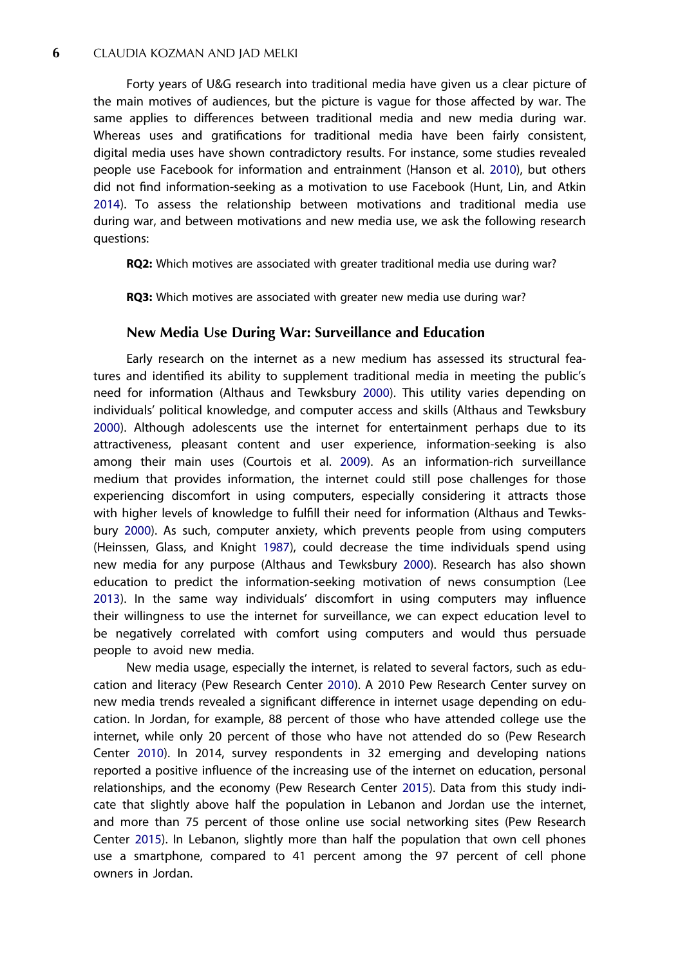<span id="page-6-0"></span>Forty years of U&G research into traditional media have given us a clear picture of the main motives of audiences, but the picture is vague for those affected by war. The same applies to differences between traditional media and new media during war. Whereas uses and gratifications for traditional media have been fairly consistent, digital media uses have shown contradictory results. For instance, some studies revealed people use Facebook for information and entrainment (Hanson et al. [2010\)](#page-19-0), but others did not find information-seeking as a motivation to use Facebook (Hunt, Lin, and Atkin [2014](#page-20-0)). To assess the relationship between motivations and traditional media use during war, and between motivations and new media use, we ask the following research questions:

RQ2: Which motives are associated with greater traditional media use during war?

RQ3: Which motives are associated with greater new media use during war?

#### New Media Use During War: Surveillance and Education

Early research on the internet as a new medium has assessed its structural features and identified its ability to supplement traditional media in meeting the public's need for information (Althaus and Tewksbury [2000\)](#page-18-0). This utility varies depending on individuals' political knowledge, and computer access and skills (Althaus and Tewksbury [2000](#page-18-0)). Although adolescents use the internet for entertainment perhaps due to its attractiveness, pleasant content and user experience, information-seeking is also among their main uses (Courtois et al. [2009\)](#page-19-0). As an information-rich surveillance medium that provides information, the internet could still pose challenges for those experiencing discomfort in using computers, especially considering it attracts those with higher levels of knowledge to fulfill their need for information (Althaus and Tewksbury [2000\)](#page-18-0). As such, computer anxiety, which prevents people from using computers (Heinssen, Glass, and Knight [1987\)](#page-20-0), could decrease the time individuals spend using new media for any purpose (Althaus and Tewksbury [2000](#page-18-0)). Research has also shown education to predict the information-seeking motivation of news consumption (Lee [2013](#page-20-0)). In the same way individuals' discomfort in using computers may influence their willingness to use the internet for surveillance, we can expect education level to be negatively correlated with comfort using computers and would thus persuade people to avoid new media.

New media usage, especially the internet, is related to several factors, such as education and literacy (Pew Research Center [2010\)](#page-21-0). A 2010 Pew Research Center survey on new media trends revealed a significant difference in internet usage depending on education. In Jordan, for example, 88 percent of those who have attended college use the internet, while only 20 percent of those who have not attended do so (Pew Research Center [2010](#page-21-0)). In 2014, survey respondents in 32 emerging and developing nations reported a positive influence of the increasing use of the internet on education, personal relationships, and the economy (Pew Research Center [2015](#page-21-0)). Data from this study indicate that slightly above half the population in Lebanon and Jordan use the internet, and more than 75 percent of those online use social networking sites (Pew Research Center [2015\)](#page-21-0). In Lebanon, slightly more than half the population that own cell phones use a smartphone, compared to 41 percent among the 97 percent of cell phone owners in Jordan.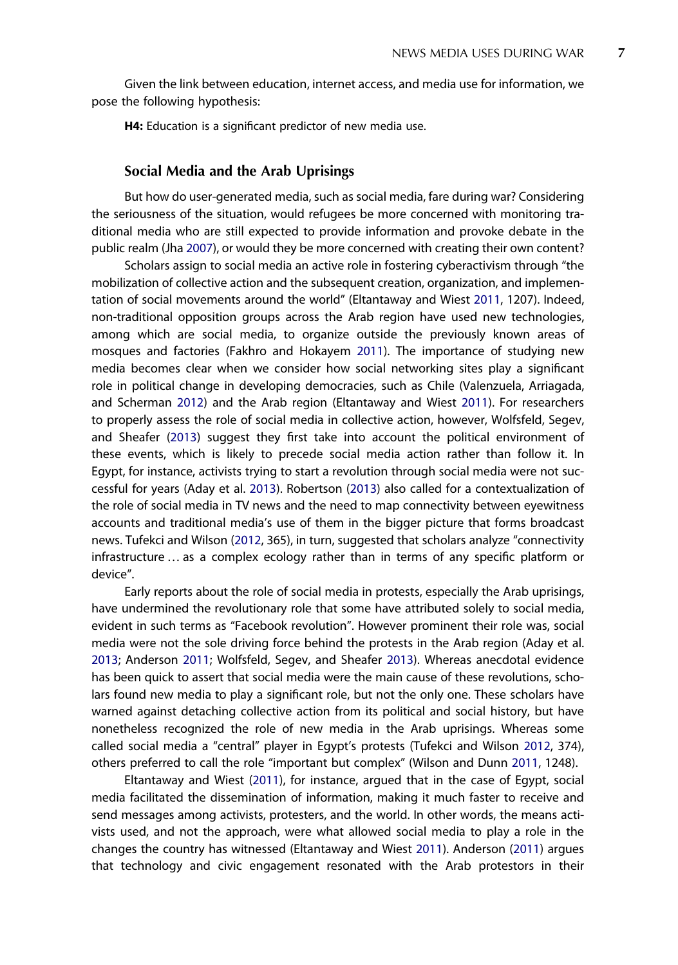<span id="page-7-0"></span>Given the link between education, internet access, and media use for information, we pose the following hypothesis:

H4: Education is a significant predictor of new media use.

#### Social Media and the Arab Uprisings

But how do user-generated media, such as social media, fare during war? Considering the seriousness of the situation, would refugees be more concerned with monitoring traditional media who are still expected to provide information and provoke debate in the public realm (Jha [2007\)](#page-20-0), or would they be more concerned with creating their own content?

Scholars assign to social media an active role in fostering cyberactivism through "the mobilization of collective action and the subsequent creation, organization, and implementation of social movements around the world" (Eltantaway and Wiest [2011](#page-19-0), 1207). Indeed, non-traditional opposition groups across the Arab region have used new technologies, among which are social media, to organize outside the previously known areas of mosques and factories (Fakhro and Hokayem [2011](#page-19-0)). The importance of studying new media becomes clear when we consider how social networking sites play a significant role in political change in developing democracies, such as Chile (Valenzuela, Arriagada, and Scherman [2012](#page-22-0)) and the Arab region (Eltantaway and Wiest [2011](#page-19-0)). For researchers to properly assess the role of social media in collective action, however, Wolfsfeld, Segev, and Sheafer ([2013](#page-23-0)) suggest they first take into account the political environment of these events, which is likely to precede social media action rather than follow it. In Egypt, for instance, activists trying to start a revolution through social media were not successful for years (Aday et al. [2013](#page-18-0)). Robertson ([2013](#page-21-0)) also called for a contextualization of the role of social media in TV news and the need to map connectivity between eyewitness accounts and traditional media's use of them in the bigger picture that forms broadcast news. Tufekci and Wilson ([2012](#page-22-0), 365), in turn, suggested that scholars analyze "connectivity infrastructure … as a complex ecology rather than in terms of any specific platform or device".

Early reports about the role of social media in protests, especially the Arab uprisings, have undermined the revolutionary role that some have attributed solely to social media, evident in such terms as "Facebook revolution". However prominent their role was, social media were not the sole driving force behind the protests in the Arab region (Aday et al. [2013](#page-18-0); Anderson [2011;](#page-19-0) Wolfsfeld, Segev, and Sheafer [2013\)](#page-23-0). Whereas anecdotal evidence has been quick to assert that social media were the main cause of these revolutions, scholars found new media to play a significant role, but not the only one. These scholars have warned against detaching collective action from its political and social history, but have nonetheless recognized the role of new media in the Arab uprisings. Whereas some called social media a "central" player in Egypt's protests (Tufekci and Wilson [2012,](#page-22-0) 374), others preferred to call the role "important but complex" (Wilson and Dunn [2011,](#page-23-0) 1248).

Eltantaway and Wiest ([2011](#page-19-0)), for instance, argued that in the case of Egypt, social media facilitated the dissemination of information, making it much faster to receive and send messages among activists, protesters, and the world. In other words, the means activists used, and not the approach, were what allowed social media to play a role in the changes the country has witnessed (Eltantaway and Wiest [2011](#page-19-0)). Anderson ([2011](#page-19-0)) argues that technology and civic engagement resonated with the Arab protestors in their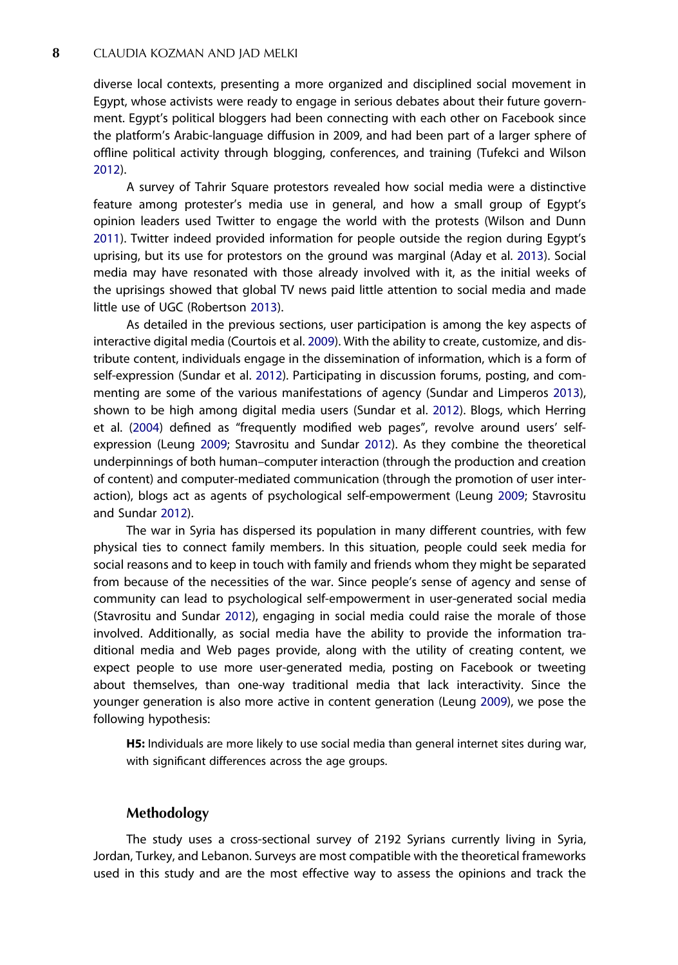<span id="page-8-0"></span>diverse local contexts, presenting a more organized and disciplined social movement in Egypt, whose activists were ready to engage in serious debates about their future government. Egypt's political bloggers had been connecting with each other on Facebook since the platform's Arabic-language diffusion in 2009, and had been part of a larger sphere of offline political activity through blogging, conferences, and training (Tufekci and Wilson [2012](#page-22-0)).

A survey of Tahrir Square protestors revealed how social media were a distinctive feature among protester's media use in general, and how a small group of Egypt's opinion leaders used Twitter to engage the world with the protests (Wilson and Dunn [2011](#page-23-0)). Twitter indeed provided information for people outside the region during Egypt's uprising, but its use for protestors on the ground was marginal (Aday et al. [2013\)](#page-18-0). Social media may have resonated with those already involved with it, as the initial weeks of the uprisings showed that global TV news paid little attention to social media and made little use of UGC (Robertson [2013\)](#page-21-0).

As detailed in the previous sections, user participation is among the key aspects of interactive digital media (Courtois et al. [2009](#page-19-0)). With the ability to create, customize, and distribute content, individuals engage in the dissemination of information, which is a form of self-expression (Sundar et al. [2012\)](#page-22-0). Participating in discussion forums, posting, and commenting are some of the various manifestations of agency (Sundar and Limperos [2013](#page-22-0)), shown to be high among digital media users (Sundar et al. [2012](#page-22-0)). Blogs, which Herring et al. ([2004\)](#page-20-0) defined as "frequently modified web pages", revolve around users' selfexpression (Leung [2009](#page-21-0); Stavrositu and Sundar [2012\)](#page-22-0). As they combine the theoretical underpinnings of both human–computer interaction (through the production and creation of content) and computer-mediated communication (through the promotion of user interaction), blogs act as agents of psychological self-empowerment (Leung [2009;](#page-21-0) Stavrositu and Sundar [2012](#page-22-0)).

The war in Syria has dispersed its population in many different countries, with few physical ties to connect family members. In this situation, people could seek media for social reasons and to keep in touch with family and friends whom they might be separated from because of the necessities of the war. Since people's sense of agency and sense of community can lead to psychological self-empowerment in user-generated social media (Stavrositu and Sundar [2012](#page-22-0)), engaging in social media could raise the morale of those involved. Additionally, as social media have the ability to provide the information traditional media and Web pages provide, along with the utility of creating content, we expect people to use more user-generated media, posting on Facebook or tweeting about themselves, than one-way traditional media that lack interactivity. Since the younger generation is also more active in content generation (Leung [2009](#page-21-0)), we pose the following hypothesis:

H5: Individuals are more likely to use social media than general internet sites during war, with significant differences across the age groups.

#### Methodology

The study uses a cross-sectional survey of 2192 Syrians currently living in Syria, Jordan, Turkey, and Lebanon. Surveys are most compatible with the theoretical frameworks used in this study and are the most effective way to assess the opinions and track the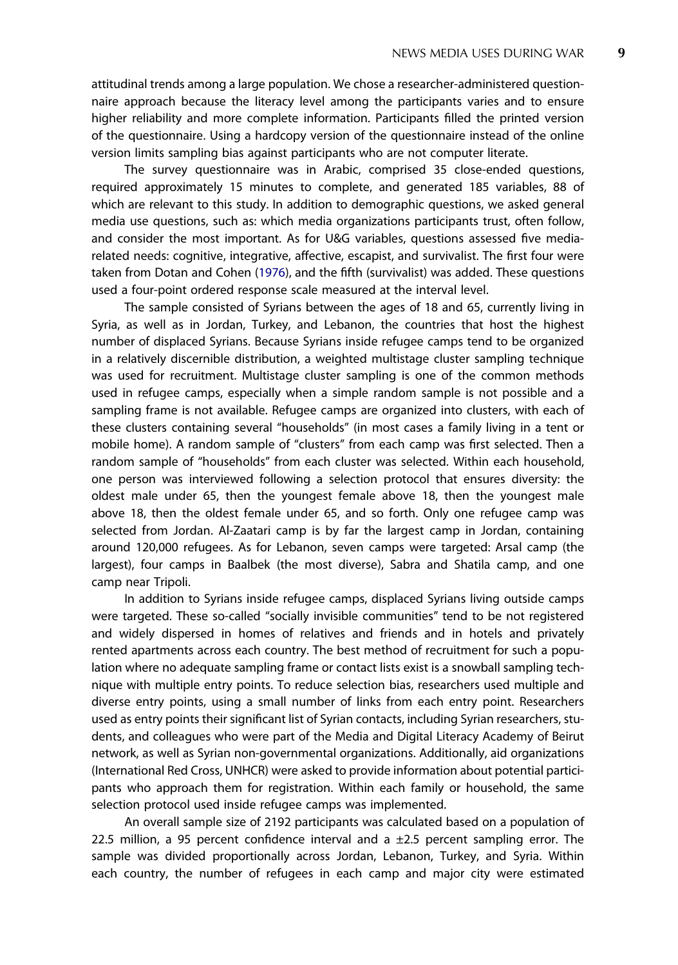attitudinal trends among a large population. We chose a researcher-administered questionnaire approach because the literacy level among the participants varies and to ensure higher reliability and more complete information. Participants filled the printed version of the questionnaire. Using a hardcopy version of the questionnaire instead of the online version limits sampling bias against participants who are not computer literate.

The survey questionnaire was in Arabic, comprised 35 close-ended questions, required approximately 15 minutes to complete, and generated 185 variables, 88 of which are relevant to this study. In addition to demographic questions, we asked general media use questions, such as: which media organizations participants trust, often follow, and consider the most important. As for U&G variables, questions assessed five mediarelated needs: cognitive, integrative, affective, escapist, and survivalist. The first four were taken from Dotan and Cohen [\(1976\)](#page-19-0), and the fifth (survivalist) was added. These questions used a four-point ordered response scale measured at the interval level.

The sample consisted of Syrians between the ages of 18 and 65, currently living in Syria, as well as in Jordan, Turkey, and Lebanon, the countries that host the highest number of displaced Syrians. Because Syrians inside refugee camps tend to be organized in a relatively discernible distribution, a weighted multistage cluster sampling technique was used for recruitment. Multistage cluster sampling is one of the common methods used in refugee camps, especially when a simple random sample is not possible and a sampling frame is not available. Refugee camps are organized into clusters, with each of these clusters containing several "households" (in most cases a family living in a tent or mobile home). A random sample of "clusters" from each camp was first selected. Then a random sample of "households" from each cluster was selected. Within each household, one person was interviewed following a selection protocol that ensures diversity: the oldest male under 65, then the youngest female above 18, then the youngest male above 18, then the oldest female under 65, and so forth. Only one refugee camp was selected from Jordan. Al-Zaatari camp is by far the largest camp in Jordan, containing around 120,000 refugees. As for Lebanon, seven camps were targeted: Arsal camp (the largest), four camps in Baalbek (the most diverse), Sabra and Shatila camp, and one camp near Tripoli.

In addition to Syrians inside refugee camps, displaced Syrians living outside camps were targeted. These so-called "socially invisible communities" tend to be not registered and widely dispersed in homes of relatives and friends and in hotels and privately rented apartments across each country. The best method of recruitment for such a population where no adequate sampling frame or contact lists exist is a snowball sampling technique with multiple entry points. To reduce selection bias, researchers used multiple and diverse entry points, using a small number of links from each entry point. Researchers used as entry points their significant list of Syrian contacts, including Syrian researchers, students, and colleagues who were part of the Media and Digital Literacy Academy of Beirut network, as well as Syrian non-governmental organizations. Additionally, aid organizations (International Red Cross, UNHCR) were asked to provide information about potential participants who approach them for registration. Within each family or household, the same selection protocol used inside refugee camps was implemented.

An overall sample size of 2192 participants was calculated based on a population of 22.5 million, a 95 percent confidence interval and a  $\pm$ 2.5 percent sampling error. The sample was divided proportionally across Jordan, Lebanon, Turkey, and Syria. Within each country, the number of refugees in each camp and major city were estimated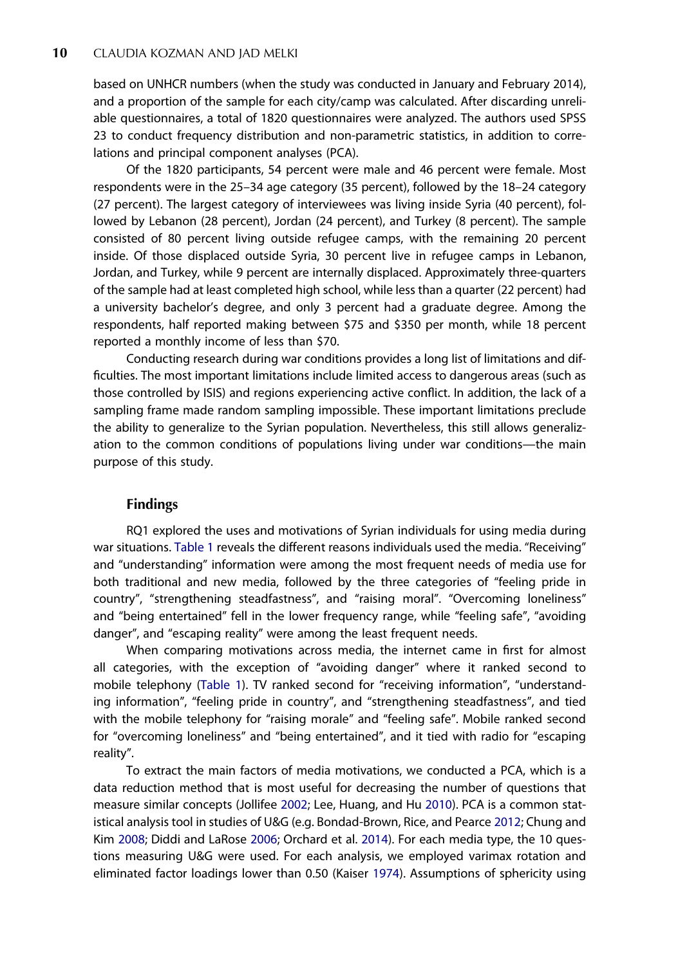<span id="page-10-0"></span>based on UNHCR numbers (when the study was conducted in January and February 2014), and a proportion of the sample for each city/camp was calculated. After discarding unreliable questionnaires, a total of 1820 questionnaires were analyzed. The authors used SPSS 23 to conduct frequency distribution and non-parametric statistics, in addition to correlations and principal component analyses (PCA).

Of the 1820 participants, 54 percent were male and 46 percent were female. Most respondents were in the 25–34 age category (35 percent), followed by the 18–24 category (27 percent). The largest category of interviewees was living inside Syria (40 percent), followed by Lebanon (28 percent), Jordan (24 percent), and Turkey (8 percent). The sample consisted of 80 percent living outside refugee camps, with the remaining 20 percent inside. Of those displaced outside Syria, 30 percent live in refugee camps in Lebanon, Jordan, and Turkey, while 9 percent are internally displaced. Approximately three-quarters of the sample had at least completed high school, while less than a quarter (22 percent) had a university bachelor's degree, and only 3 percent had a graduate degree. Among the respondents, half reported making between \$75 and \$350 per month, while 18 percent reported a monthly income of less than \$70.

Conducting research during war conditions provides a long list of limitations and difficulties. The most important limitations include limited access to dangerous areas (such as those controlled by ISIS) and regions experiencing active conflict. In addition, the lack of a sampling frame made random sampling impossible. These important limitations preclude the ability to generalize to the Syrian population. Nevertheless, this still allows generalization to the common conditions of populations living under war conditions—the main purpose of this study.

#### Findings

RQ1 explored the uses and motivations of Syrian individuals for using media during war situations. [Table 1](#page-11-0) reveals the different reasons individuals used the media. "Receiving" and "understanding" information were among the most frequent needs of media use for both traditional and new media, followed by the three categories of "feeling pride in country", "strengthening steadfastness", and "raising moral". "Overcoming loneliness" and "being entertained" fell in the lower frequency range, while "feeling safe", "avoiding danger", and "escaping reality" were among the least frequent needs.

When comparing motivations across media, the internet came in first for almost all categories, with the exception of "avoiding danger" where it ranked second to mobile telephony ([Table 1](#page-11-0)). TV ranked second for "receiving information", "understanding information", "feeling pride in country", and "strengthening steadfastness", and tied with the mobile telephony for "raising morale" and "feeling safe". Mobile ranked second for "overcoming loneliness" and "being entertained", and it tied with radio for "escaping reality".

To extract the main factors of media motivations, we conducted a PCA, which is a data reduction method that is most useful for decreasing the number of questions that measure similar concepts (Jollifee [2002;](#page-20-0) Lee, Huang, and Hu [2010](#page-20-0)). PCA is a common statistical analysis tool in studies of U&G (e.g. Bondad-Brown, Rice, and Pearce [2012](#page-19-0); Chung and Kim [2008](#page-19-0); Diddi and LaRose [2006;](#page-19-0) Orchard et al. [2014\)](#page-21-0). For each media type, the 10 questions measuring U&G were used. For each analysis, we employed varimax rotation and eliminated factor loadings lower than 0.50 (Kaiser [1974\)](#page-20-0). Assumptions of sphericity using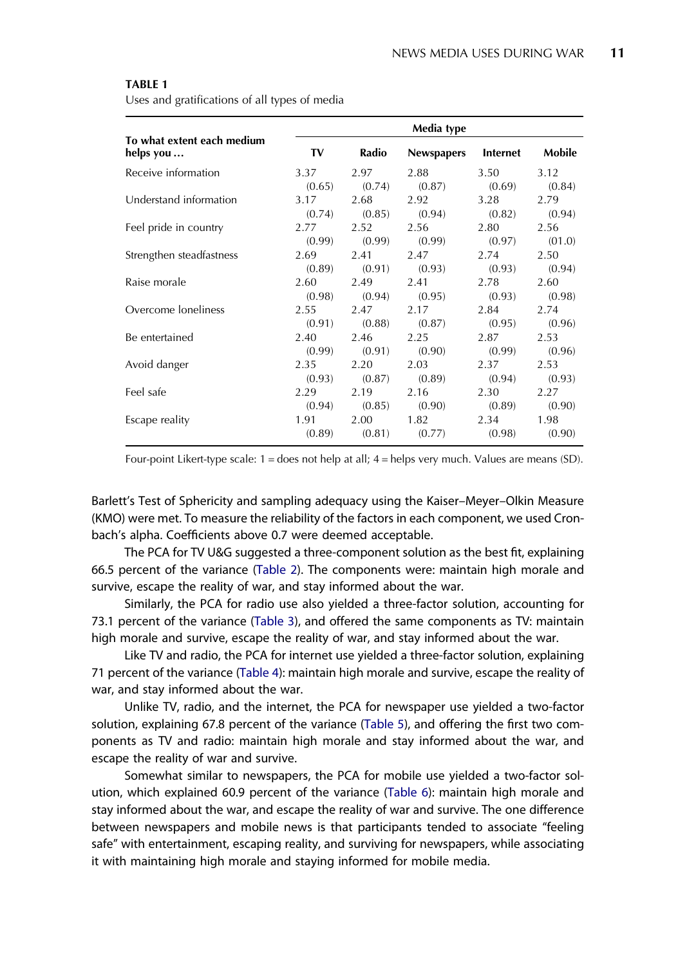<span id="page-11-0"></span>Uses and gratifications of all types of media

|                                         | Media type |        |                   |          |        |
|-----------------------------------------|------------|--------|-------------------|----------|--------|
| To what extent each medium<br>helps you | TV         | Radio  | <b>Newspapers</b> | Internet | Mobile |
| Receive information                     | 3.37       | 2.97   | 2.88              | 3.50     | 3.12   |
|                                         | (0.65)     | (0.74) | (0.87)            | (0.69)   | (0.84) |
| Understand information                  | 3.17       | 2.68   | 2.92              | 3.28     | 2.79   |
|                                         | (0.74)     | (0.85) | (0.94)            | (0.82)   | (0.94) |
| Feel pride in country                   | 2.77       | 2.52   | 2.56              | 2.80     | 2.56   |
|                                         | (0.99)     | (0.99) | (0.99)            | (0.97)   | (01.0) |
| Strengthen steadfastness                | 2.69       | 2.41   | 2.47              | 2.74     | 2.50   |
|                                         | (0.89)     | (0.91) | (0.93)            | (0.93)   | (0.94) |
| Raise morale                            | 2.60       | 2.49   | 2.41              | 2.78     | 2.60   |
|                                         | (0.98)     | (0.94) | (0.95)            | (0.93)   | (0.98) |
| Overcome loneliness                     | 2.55       | 2.47   | 2.17              | 2.84     | 2.74   |
|                                         | (0.91)     | (0.88) | (0.87)            | (0.95)   | (0.96) |
| Be entertained                          | 2.40       | 2.46   | 2.25              | 2.87     | 2.53   |
|                                         | (0.99)     | (0.91) | (0.90)            | (0.99)   | (0.96) |
| Avoid danger                            | 2.35       | 2.20   | 2.03              | 2.37     | 2.53   |
|                                         | (0.93)     | (0.87) | (0.89)            | (0.94)   | (0.93) |
| Feel safe                               | 2.29       | 2.19   | 2.16              | 2.30     | 2.27   |
|                                         | (0.94)     | (0.85) | (0.90)            | (0.89)   | (0.90) |
| Escape reality                          | 1.91       | 2.00   | 1.82              | 2.34     | 1.98   |
|                                         | (0.89)     | (0.81) | (0.77)            | (0.98)   | (0.90) |

Four-point Likert-type scale:  $1 =$  does not help at all;  $4 =$  helps very much. Values are means (SD).

Barlett's Test of Sphericity and sampling adequacy using the Kaiser–Meyer–Olkin Measure (KMO) were met. To measure the reliability of the factors in each component, we used Cronbach's alpha. Coefficients above 0.7 were deemed acceptable.

The PCA for TV U&G suggested a three-component solution as the best fit, explaining 66.5 percent of the variance ([Table 2](#page-12-0)). The components were: maintain high morale and survive, escape the reality of war, and stay informed about the war.

Similarly, the PCA for radio use also yielded a three-factor solution, accounting for 73.1 percent of the variance [\(Table 3](#page-12-0)), and offered the same components as TV: maintain high morale and survive, escape the reality of war, and stay informed about the war.

Like TV and radio, the PCA for internet use yielded a three-factor solution, explaining 71 percent of the variance [\(Table 4\)](#page-13-0): maintain high morale and survive, escape the reality of war, and stay informed about the war.

Unlike TV, radio, and the internet, the PCA for newspaper use yielded a two-factor solution, explaining 67.8 percent of the variance [\(Table 5](#page-13-0)), and offering the first two components as TV and radio: maintain high morale and stay informed about the war, and escape the reality of war and survive.

Somewhat similar to newspapers, the PCA for mobile use yielded a two-factor solution, which explained 60.9 percent of the variance [\(Table 6\)](#page-14-0): maintain high morale and stay informed about the war, and escape the reality of war and survive. The one difference between newspapers and mobile news is that participants tended to associate "feeling safe" with entertainment, escaping reality, and surviving for newspapers, while associating it with maintaining high morale and staying informed for mobile media.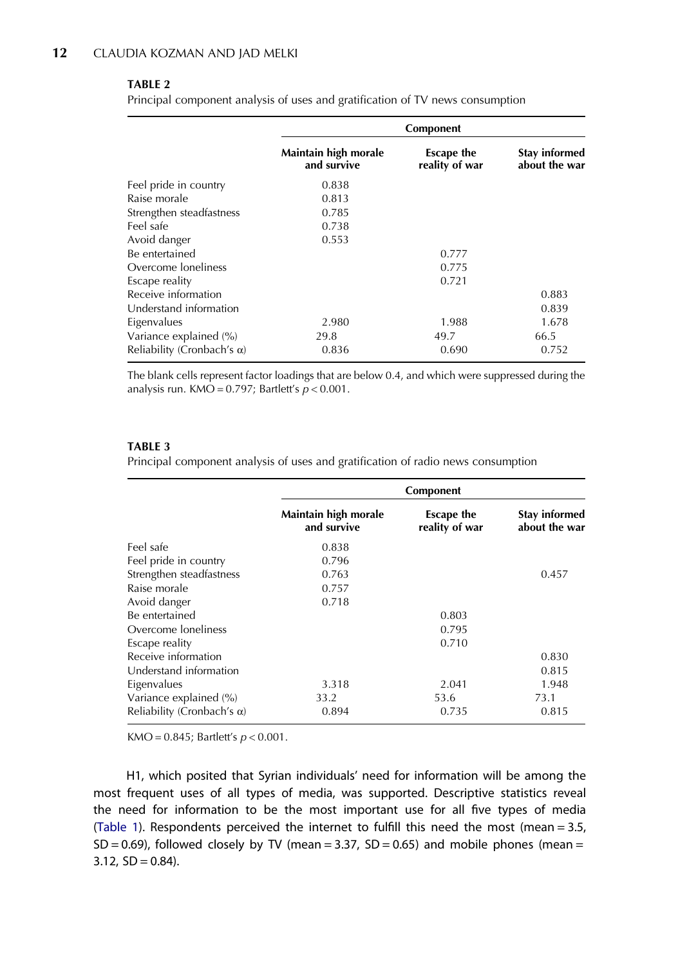#### <span id="page-12-0"></span>TARIF<sub>2</sub>

Principal component analysis of uses and gratification of TV news consumption

|                                    | Component                           |                                     |                                |  |
|------------------------------------|-------------------------------------|-------------------------------------|--------------------------------|--|
|                                    | Maintain high morale<br>and survive | <b>Escape the</b><br>reality of war | Stay informed<br>about the war |  |
| Feel pride in country              | 0.838                               |                                     |                                |  |
| Raise morale                       | 0.813                               |                                     |                                |  |
| Strengthen steadfastness           | 0.785                               |                                     |                                |  |
| Feel safe                          | 0.738                               |                                     |                                |  |
| Avoid danger                       | 0.553                               |                                     |                                |  |
| Be entertained                     |                                     | 0.777                               |                                |  |
| Overcome loneliness                |                                     | 0.775                               |                                |  |
| Escape reality                     |                                     | 0.721                               |                                |  |
| Receive information                |                                     |                                     | 0.883                          |  |
| Understand information             |                                     |                                     | 0.839                          |  |
| Eigenvalues                        | 2.980                               | 1.988                               | 1.678                          |  |
| Variance explained (%)             | 29.8                                | 49.7                                | 66.5                           |  |
| Reliability (Cronbach's $\alpha$ ) | 0.836                               | 0.690                               | 0.752                          |  |

The blank cells represent factor loadings that are below 0.4, and which were suppressed during the analysis run. KMO =  $0.797$ ; Bartlett's  $p < 0.001$ .

#### TABLE 3

Principal component analysis of uses and gratification of radio news consumption

|                                    | Component                           |                                     |                                |  |
|------------------------------------|-------------------------------------|-------------------------------------|--------------------------------|--|
|                                    | Maintain high morale<br>and survive | <b>Escape the</b><br>reality of war | Stay informed<br>about the war |  |
| Feel safe                          | 0.838                               |                                     |                                |  |
| Feel pride in country              | 0.796                               |                                     |                                |  |
| Strengthen steadfastness           | 0.763                               |                                     | 0.457                          |  |
| Raise morale                       | 0.757                               |                                     |                                |  |
| Avoid danger                       | 0.718                               |                                     |                                |  |
| Be entertained                     |                                     | 0.803                               |                                |  |
| Overcome loneliness                |                                     | 0.795                               |                                |  |
| Escape reality                     |                                     | 0.710                               |                                |  |
| Receive information                |                                     |                                     | 0.830                          |  |
| Understand information             |                                     |                                     | 0.815                          |  |
| Eigenvalues                        | 3.318                               | 2.041                               | 1.948                          |  |
| Variance explained (%)             | 33.2                                | 53.6                                | 73.1                           |  |
| Reliability (Cronbach's $\alpha$ ) | 0.894                               | 0.735                               | 0.815                          |  |

KMO = 0.845; Bartlett's  $p < 0.001$ .

H1, which posited that Syrian individuals' need for information will be among the most frequent uses of all types of media, was supported. Descriptive statistics reveal the need for information to be the most important use for all five types of media ([Table 1\)](#page-11-0). Respondents perceived the internet to fulfill this need the most (mean = 3.5,  $SD = 0.69$ ), followed closely by TV (mean = 3.37,  $SD = 0.65$ ) and mobile phones (mean =  $3.12$ ,  $SD = 0.84$ ).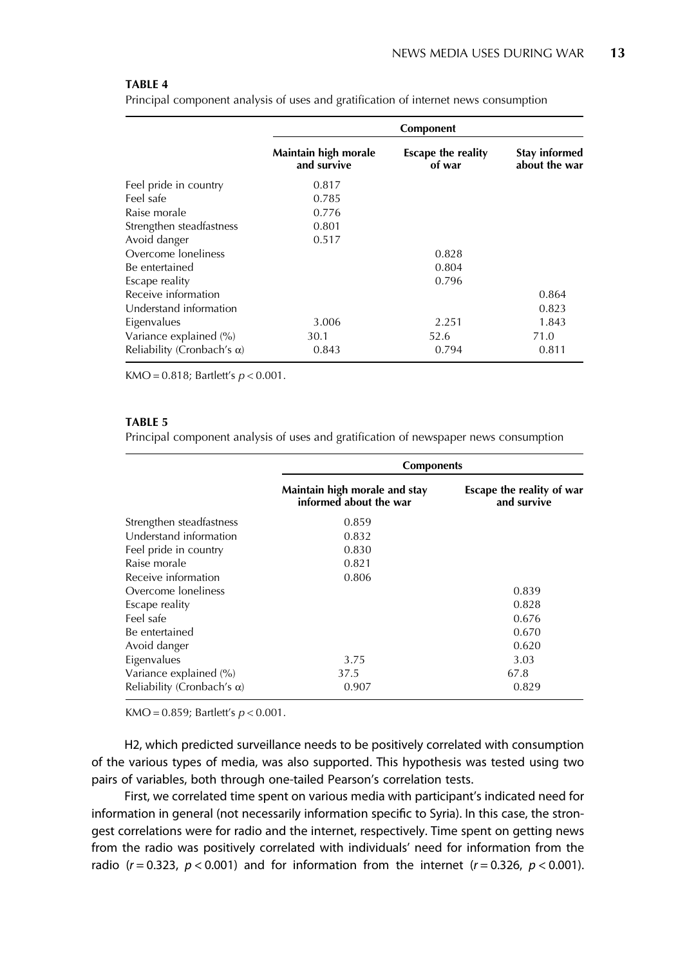<span id="page-13-0"></span>Principal component analysis of uses and gratification of internet news consumption

|                                    | Component                           |                                     |                                       |  |
|------------------------------------|-------------------------------------|-------------------------------------|---------------------------------------|--|
|                                    | Maintain high morale<br>and survive | <b>Escape the reality</b><br>of war | <b>Stay informed</b><br>about the war |  |
| Feel pride in country              | 0.817                               |                                     |                                       |  |
| Feel safe                          | 0.785                               |                                     |                                       |  |
| Raise morale                       | 0.776                               |                                     |                                       |  |
| Strengthen steadfastness           | 0.801                               |                                     |                                       |  |
| Avoid danger                       | 0.517                               |                                     |                                       |  |
| Overcome loneliness                |                                     | 0.828                               |                                       |  |
| Be entertained                     |                                     | 0.804                               |                                       |  |
| Escape reality                     |                                     | 0.796                               |                                       |  |
| Receive information                |                                     |                                     | 0.864                                 |  |
| Understand information             |                                     |                                     | 0.823                                 |  |
| Eigenvalues                        | 3.006                               | 2.251                               | 1.843                                 |  |
| Variance explained (%)             | 30.1                                | 52.6                                | 71.0                                  |  |
| Reliability (Cronbach's $\alpha$ ) | 0.843                               | 0.794                               | 0.811                                 |  |

KMO = 0.818; Bartlett's  $p < 0.001$ .

#### TABLE 5

Principal component analysis of uses and gratification of newspaper news consumption

|                                    | <b>Components</b>                                       |                                          |  |
|------------------------------------|---------------------------------------------------------|------------------------------------------|--|
|                                    | Maintain high morale and stay<br>informed about the war | Escape the reality of war<br>and survive |  |
| Strengthen steadfastness           | 0.859                                                   |                                          |  |
| Understand information             | 0.832                                                   |                                          |  |
| Feel pride in country              | 0.830                                                   |                                          |  |
| Raise morale                       | 0.821                                                   |                                          |  |
| Receive information                | 0.806                                                   |                                          |  |
| Overcome loneliness                |                                                         | 0.839                                    |  |
| Escape reality                     |                                                         | 0.828                                    |  |
| Feel safe                          |                                                         | 0.676                                    |  |
| Be entertained                     |                                                         | 0.670                                    |  |
| Avoid danger                       |                                                         | 0.620                                    |  |
| Eigenvalues                        | 3.75                                                    | 3.03                                     |  |
| Variance explained (%)             | 37.5                                                    | 67.8                                     |  |
| Reliability (Cronbach's $\alpha$ ) | 0.907                                                   | 0.829                                    |  |

KMO = 0.859; Bartlett's  $p < 0.001$ .

H2, which predicted surveillance needs to be positively correlated with consumption of the various types of media, was also supported. This hypothesis was tested using two pairs of variables, both through one-tailed Pearson's correlation tests.

First, we correlated time spent on various media with participant's indicated need for information in general (not necessarily information specific to Syria). In this case, the strongest correlations were for radio and the internet, respectively. Time spent on getting news from the radio was positively correlated with individuals' need for information from the radio ( $r = 0.323$ ,  $p < 0.001$ ) and for information from the internet ( $r = 0.326$ ,  $p < 0.001$ ).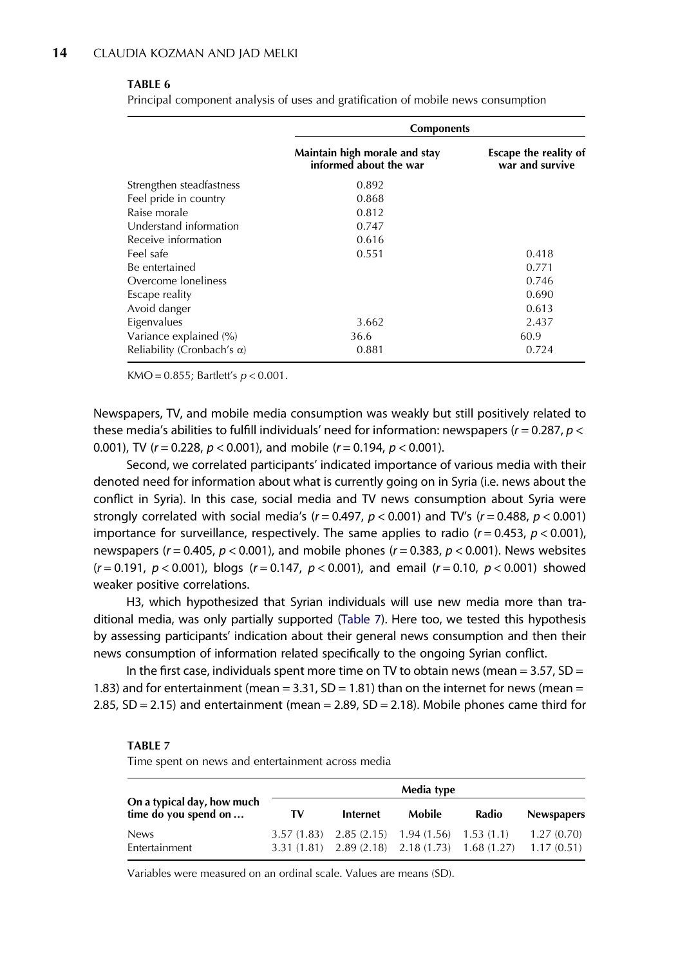<span id="page-14-0"></span>Principal component analysis of uses and gratification of mobile news consumption

|                                    | <b>Components</b>                                       |                                          |  |
|------------------------------------|---------------------------------------------------------|------------------------------------------|--|
|                                    | Maintain high morale and stay<br>informed about the war | Escape the reality of<br>war and survive |  |
| Strengthen steadfastness           | 0.892                                                   |                                          |  |
| Feel pride in country              | 0.868                                                   |                                          |  |
| Raise morale                       | 0.812                                                   |                                          |  |
| Understand information             | 0.747                                                   |                                          |  |
| Receive information                | 0.616                                                   |                                          |  |
| Feel safe                          | 0.551                                                   | 0.418                                    |  |
| Be entertained                     |                                                         | 0.771                                    |  |
| Overcome loneliness                |                                                         | 0.746                                    |  |
| Escape reality                     |                                                         | 0.690                                    |  |
| Avoid danger                       |                                                         | 0.613                                    |  |
| Eigenvalues                        | 3.662                                                   | 2.437                                    |  |
| Variance explained (%)             | 36.6                                                    | 60.9                                     |  |
| Reliability (Cronbach's $\alpha$ ) | 0.881                                                   | 0.724                                    |  |

KMO = 0.855; Bartlett's  $p < 0.001$ .

Newspapers, TV, and mobile media consumption was weakly but still positively related to these media's abilities to fulfill individuals' need for information: newspapers ( $r = 0.287$ ,  $p <$ 0.001), TV ( $r = 0.228$ ,  $p < 0.001$ ), and mobile ( $r = 0.194$ ,  $p < 0.001$ ).

Second, we correlated participants' indicated importance of various media with their denoted need for information about what is currently going on in Syria (i.e. news about the conflict in Syria). In this case, social media and TV news consumption about Syria were strongly correlated with social media's ( $r = 0.497$ ,  $p < 0.001$ ) and TV's ( $r = 0.488$ ,  $p < 0.001$ ) importance for surveillance, respectively. The same applies to radio  $(r = 0.453, p < 0.001)$ , newspapers ( $r = 0.405$ ,  $p < 0.001$ ), and mobile phones ( $r = 0.383$ ,  $p < 0.001$ ). News websites  $(r = 0.191, p < 0.001)$ , blogs  $(r = 0.147, p < 0.001)$ , and email  $(r = 0.10, p < 0.001)$  showed weaker positive correlations.

H3, which hypothesized that Syrian individuals will use new media more than traditional media, was only partially supported (Table 7). Here too, we tested this hypothesis by assessing participants' indication about their general news consumption and then their news consumption of information related specifically to the ongoing Syrian conflict.

In the first case, individuals spent more time on TV to obtain news (mean =  $3.57$ , SD = 1.83) and for entertainment (mean  $=$  3.31, SD  $=$  1.81) than on the internet for news (mean  $=$ 2.85,  $SD = 2.15$ ) and entertainment (mean = 2.89,  $SD = 2.18$ ). Mobile phones came third for

#### TABLE 7

Time spent on news and entertainment across media

|                                                    | Media type |                                                    |        |       |                                                                                |
|----------------------------------------------------|------------|----------------------------------------------------|--------|-------|--------------------------------------------------------------------------------|
| On a typical day, how much<br>time do you spend on | TV         | Internet                                           | Mobile | Radio | <b>Newspapers</b>                                                              |
| <b>News</b><br>Entertainment                       |            | $3.57(1.83)$ $2.85(2.15)$ $1.94(1.56)$ $1.53(1.1)$ |        |       | 1.27(0.70)<br>$3.31(1.81)$ $2.89(2.18)$ $2.18(1.73)$ $1.68(1.27)$ $1.17(0.51)$ |

Variables were measured on an ordinal scale. Values are means (SD).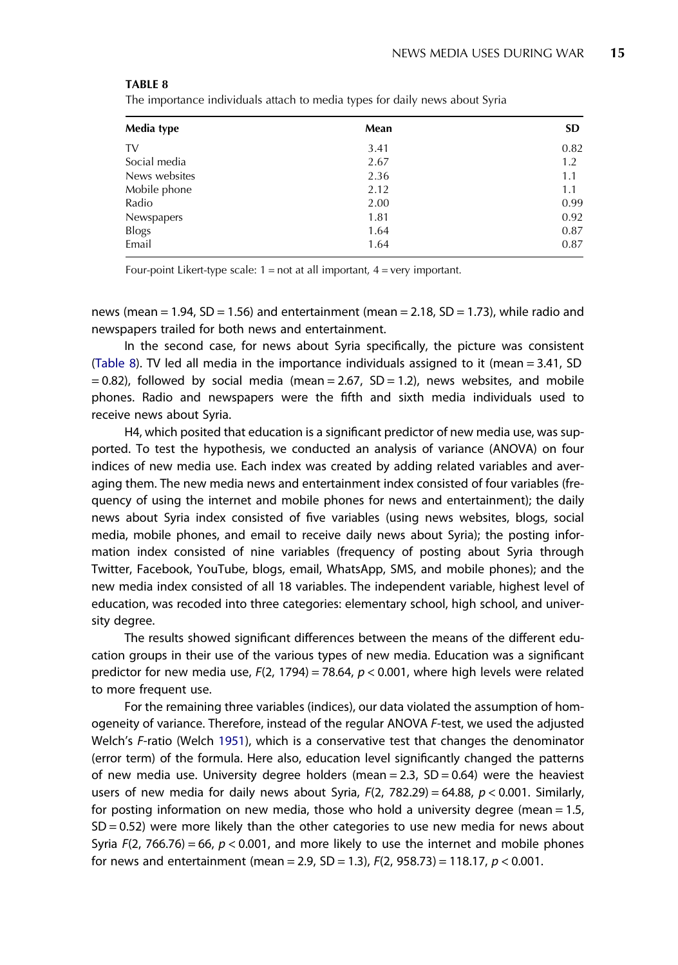<span id="page-15-0"></span>The importance individuals attach to media types for daily news about Syria

| Media type    | Mean | <b>SD</b> |
|---------------|------|-----------|
| TV            | 3.41 | 0.82      |
| Social media  | 2.67 | 1.2       |
| News websites | 2.36 | 1.1       |
| Mobile phone  | 2.12 | 1.1       |
| Radio         | 2.00 | 0.99      |
| Newspapers    | 1.81 | 0.92      |
| <b>Blogs</b>  | 1.64 | 0.87      |
| Email         | 1.64 | 0.87      |

Four-point Likert-type scale:  $1 = not$  at all important,  $4 = very$  important.

news (mean  $= 1.94$ , SD  $= 1.56$ ) and entertainment (mean  $= 2.18$ , SD  $= 1.73$ ), while radio and newspapers trailed for both news and entertainment.

In the second case, for news about Syria specifically, the picture was consistent (Table 8). TV led all media in the importance individuals assigned to it (mean = 3.41, SD  $= 0.82$ ), followed by social media (mean  $= 2.67$ , SD  $= 1.2$ ), news websites, and mobile phones. Radio and newspapers were the fifth and sixth media individuals used to receive news about Syria.

H4, which posited that education is a significant predictor of new media use, was supported. To test the hypothesis, we conducted an analysis of variance (ANOVA) on four indices of new media use. Each index was created by adding related variables and averaging them. The new media news and entertainment index consisted of four variables (frequency of using the internet and mobile phones for news and entertainment); the daily news about Syria index consisted of five variables (using news websites, blogs, social media, mobile phones, and email to receive daily news about Syria); the posting information index consisted of nine variables (frequency of posting about Syria through Twitter, Facebook, YouTube, blogs, email, WhatsApp, SMS, and mobile phones); and the new media index consisted of all 18 variables. The independent variable, highest level of education, was recoded into three categories: elementary school, high school, and university degree.

The results showed significant differences between the means of the different education groups in their use of the various types of new media. Education was a significant predictor for new media use,  $F(2, 1794) = 78.64$ ,  $p < 0.001$ , where high levels were related to more frequent use.

For the remaining three variables (indices), our data violated the assumption of homogeneity of variance. Therefore, instead of the regular ANOVA F-test, we used the adjusted Welch's F-ratio (Welch [1951](#page-22-0)), which is a conservative test that changes the denominator (error term) of the formula. Here also, education level significantly changed the patterns of new media use. University degree holders (mean  $= 2.3$ , SD  $= 0.64$ ) were the heaviest users of new media for daily news about Syria,  $F(2, 782.29) = 64.88$ ,  $p < 0.001$ . Similarly, for posting information on new media, those who hold a university degree (mean = 1.5,  $SD = 0.52$ ) were more likely than the other categories to use new media for news about Syria  $F(2, 766.76) = 66$ ,  $p < 0.001$ , and more likely to use the internet and mobile phones for news and entertainment (mean = 2.9, SD = 1.3),  $F(2, 958.73) = 118.17$ ,  $p < 0.001$ .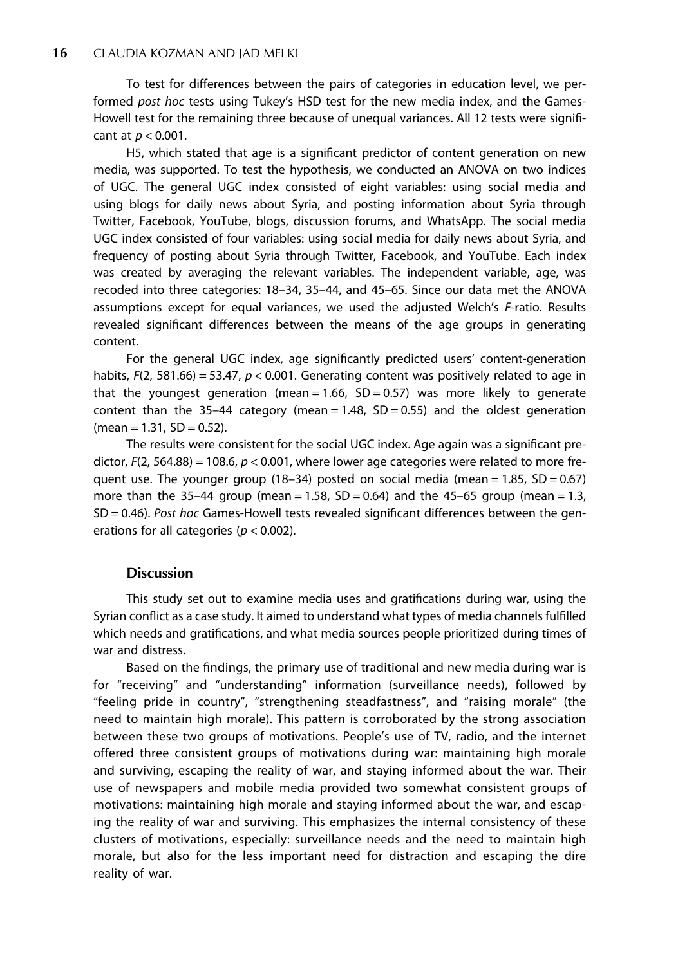To test for differences between the pairs of categories in education level, we performed post hoc tests using Tukey's HSD test for the new media index, and the Games-Howell test for the remaining three because of unequal variances. All 12 tests were significant at  $p < 0.001$ .

H5, which stated that age is a significant predictor of content generation on new media, was supported. To test the hypothesis, we conducted an ANOVA on two indices of UGC. The general UGC index consisted of eight variables: using social media and using blogs for daily news about Syria, and posting information about Syria through Twitter, Facebook, YouTube, blogs, discussion forums, and WhatsApp. The social media UGC index consisted of four variables: using social media for daily news about Syria, and frequency of posting about Syria through Twitter, Facebook, and YouTube. Each index was created by averaging the relevant variables. The independent variable, age, was recoded into three categories: 18–34, 35–44, and 45–65. Since our data met the ANOVA assumptions except for equal variances, we used the adjusted Welch's F-ratio. Results revealed significant differences between the means of the age groups in generating content.

For the general UGC index, age significantly predicted users' content-generation habits,  $F(2, 581.66) = 53.47$ ,  $p < 0.001$ . Generating content was positively related to age in that the youngest generation (mean =  $1.66$ , SD = 0.57) was more likely to generate content than the 35-44 category (mean =  $1.48$ , SD = 0.55) and the oldest generation  $(mean = 1.31, SD = 0.52).$ 

The results were consistent for the social UGC index. Age again was a significant predictor,  $F(2, 564.88) = 108.6$ ,  $p < 0.001$ , where lower age categories were related to more frequent use. The younger group (18–34) posted on social media (mean  $= 1.85$ , SD  $= 0.67$ ) more than the 35–44 group (mean = 1.58,  $SD = 0.64$ ) and the 45–65 group (mean = 1.3, SD = 0.46). Post hoc Games-Howell tests revealed significant differences between the generations for all categories ( $p < 0.002$ ).

#### **Discussion**

This study set out to examine media uses and gratifications during war, using the Syrian conflict as a case study. It aimed to understand what types of media channels fulfilled which needs and gratifications, and what media sources people prioritized during times of war and distress.

Based on the findings, the primary use of traditional and new media during war is for "receiving" and "understanding" information (surveillance needs), followed by "feeling pride in country", "strengthening steadfastness", and "raising morale" (the need to maintain high morale). This pattern is corroborated by the strong association between these two groups of motivations. People's use of TV, radio, and the internet offered three consistent groups of motivations during war: maintaining high morale and surviving, escaping the reality of war, and staying informed about the war. Their use of newspapers and mobile media provided two somewhat consistent groups of motivations: maintaining high morale and staying informed about the war, and escaping the reality of war and surviving. This emphasizes the internal consistency of these clusters of motivations, especially: surveillance needs and the need to maintain high morale, but also for the less important need for distraction and escaping the dire reality of war.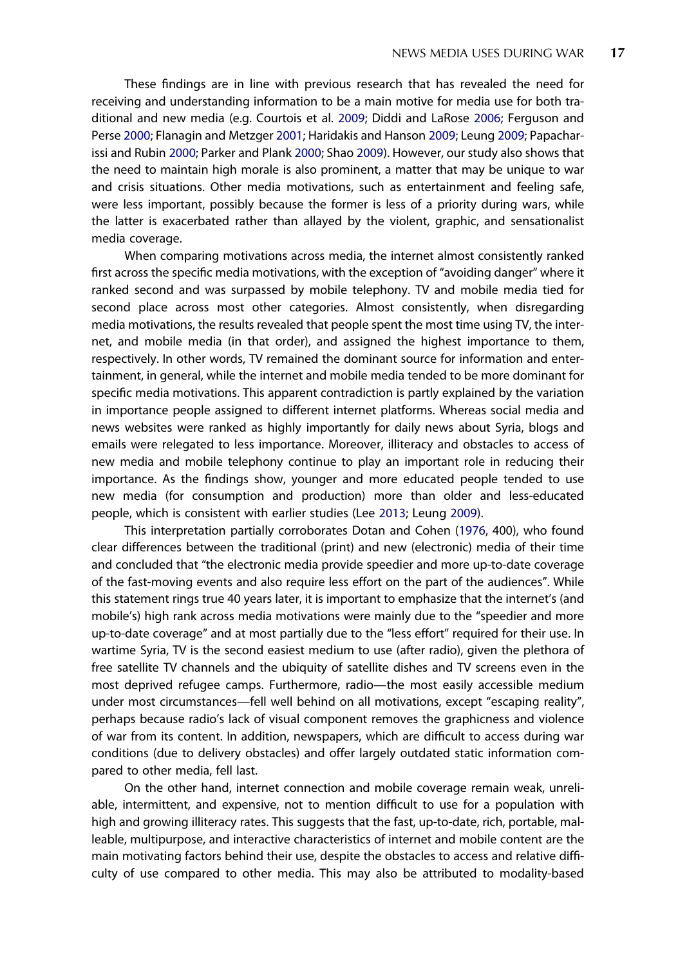These findings are in line with previous research that has revealed the need for receiving and understanding information to be a main motive for media use for both traditional and new media (e.g. Courtois et al. [2009;](#page-19-0) Diddi and LaRose [2006](#page-19-0); Ferguson and Perse [2000](#page-19-0); Flanagin and Metzger [2001](#page-19-0); Haridakis and Hanson [2009](#page-19-0); Leung [2009;](#page-21-0) Papacharissi and Rubin [2000](#page-21-0); Parker and Plank [2000;](#page-21-0) Shao [2009\)](#page-22-0). However, our study also shows that the need to maintain high morale is also prominent, a matter that may be unique to war and crisis situations. Other media motivations, such as entertainment and feeling safe, were less important, possibly because the former is less of a priority during wars, while the latter is exacerbated rather than allayed by the violent, graphic, and sensationalist media coverage.

When comparing motivations across media, the internet almost consistently ranked first across the specific media motivations, with the exception of "avoiding danger" where it ranked second and was surpassed by mobile telephony. TV and mobile media tied for second place across most other categories. Almost consistently, when disregarding media motivations, the results revealed that people spent the most time using TV, the internet, and mobile media (in that order), and assigned the highest importance to them, respectively. In other words, TV remained the dominant source for information and entertainment, in general, while the internet and mobile media tended to be more dominant for specific media motivations. This apparent contradiction is partly explained by the variation in importance people assigned to different internet platforms. Whereas social media and news websites were ranked as highly importantly for daily news about Syria, blogs and emails were relegated to less importance. Moreover, illiteracy and obstacles to access of new media and mobile telephony continue to play an important role in reducing their importance. As the findings show, younger and more educated people tended to use new media (for consumption and production) more than older and less-educated people, which is consistent with earlier studies (Lee [2013](#page-20-0); Leung [2009](#page-21-0)).

This interpretation partially corroborates Dotan and Cohen ([1976](#page-19-0), 400), who found clear differences between the traditional (print) and new (electronic) media of their time and concluded that "the electronic media provide speedier and more up-to-date coverage of the fast-moving events and also require less effort on the part of the audiences". While this statement rings true 40 years later, it is important to emphasize that the internet's (and mobile's) high rank across media motivations were mainly due to the "speedier and more up-to-date coverage" and at most partially due to the "less effort" required for their use. In wartime Syria, TV is the second easiest medium to use (after radio), given the plethora of free satellite TV channels and the ubiquity of satellite dishes and TV screens even in the most deprived refugee camps. Furthermore, radio—the most easily accessible medium under most circumstances—fell well behind on all motivations, except "escaping reality", perhaps because radio's lack of visual component removes the graphicness and violence of war from its content. In addition, newspapers, which are difficult to access during war conditions (due to delivery obstacles) and offer largely outdated static information compared to other media, fell last.

On the other hand, internet connection and mobile coverage remain weak, unreliable, intermittent, and expensive, not to mention difficult to use for a population with high and growing illiteracy rates. This suggests that the fast, up-to-date, rich, portable, malleable, multipurpose, and interactive characteristics of internet and mobile content are the main motivating factors behind their use, despite the obstacles to access and relative difficulty of use compared to other media. This may also be attributed to modality-based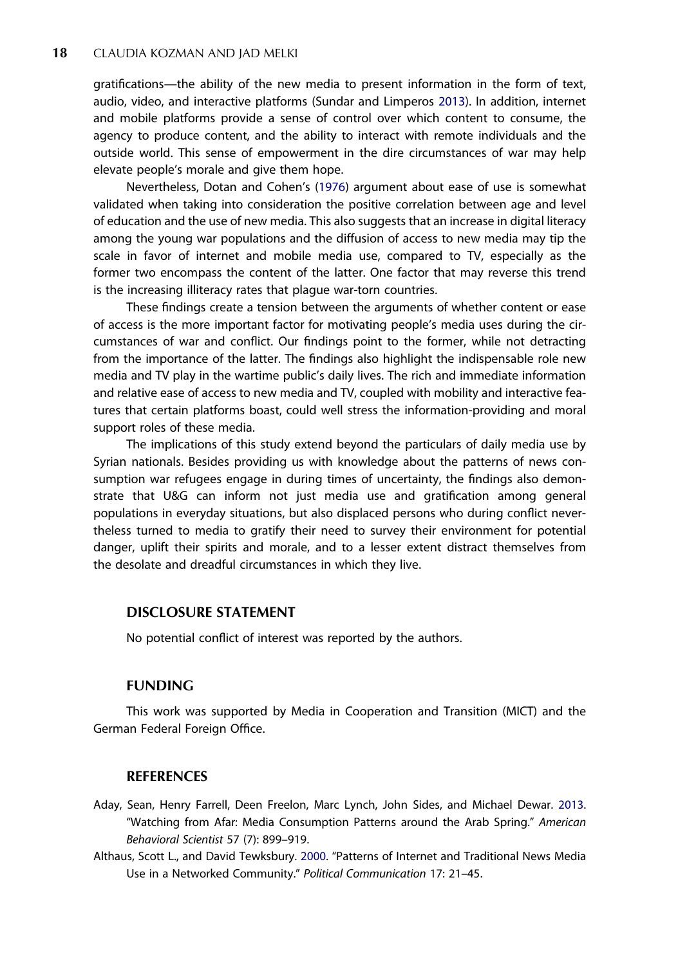<span id="page-18-0"></span>gratifications—the ability of the new media to present information in the form of text, audio, video, and interactive platforms (Sundar and Limperos [2013\)](#page-22-0). In addition, internet and mobile platforms provide a sense of control over which content to consume, the agency to produce content, and the ability to interact with remote individuals and the outside world. This sense of empowerment in the dire circumstances of war may help elevate people's morale and give them hope.

Nevertheless, Dotan and Cohen's ([1976](#page-19-0)) argument about ease of use is somewhat validated when taking into consideration the positive correlation between age and level of education and the use of new media. This also suggests that an increase in digital literacy among the young war populations and the diffusion of access to new media may tip the scale in favor of internet and mobile media use, compared to TV, especially as the former two encompass the content of the latter. One factor that may reverse this trend is the increasing illiteracy rates that plague war-torn countries.

These findings create a tension between the arguments of whether content or ease of access is the more important factor for motivating people's media uses during the circumstances of war and conflict. Our findings point to the former, while not detracting from the importance of the latter. The findings also highlight the indispensable role new media and TV play in the wartime public's daily lives. The rich and immediate information and relative ease of access to new media and TV, coupled with mobility and interactive features that certain platforms boast, could well stress the information-providing and moral support roles of these media.

The implications of this study extend beyond the particulars of daily media use by Syrian nationals. Besides providing us with knowledge about the patterns of news consumption war refugees engage in during times of uncertainty, the findings also demonstrate that U&G can inform not just media use and gratification among general populations in everyday situations, but also displaced persons who during conflict nevertheless turned to media to gratify their need to survey their environment for potential danger, uplift their spirits and morale, and to a lesser extent distract themselves from the desolate and dreadful circumstances in which they live.

#### DISCLOSURE STATEMENT

No potential conflict of interest was reported by the authors.

#### **FUNDING**

This work was supported by Media in Cooperation and Transition (MICT) and the German Federal Foreign Office.

#### **REFERENCES**

- Aday, Sean, Henry Farrell, Deen Freelon, Marc Lynch, John Sides, and Michael Dewar. [2013.](#page-7-0) "Watching from Afar: Media Consumption Patterns around the Arab Spring." American Behavioral Scientist 57 (7): 899–919.
- Althaus, Scott L., and David Tewksbury. [2000](#page-5-0). "Patterns of Internet and Traditional News Media Use in a Networked Community." Political Communication 17: 21–45.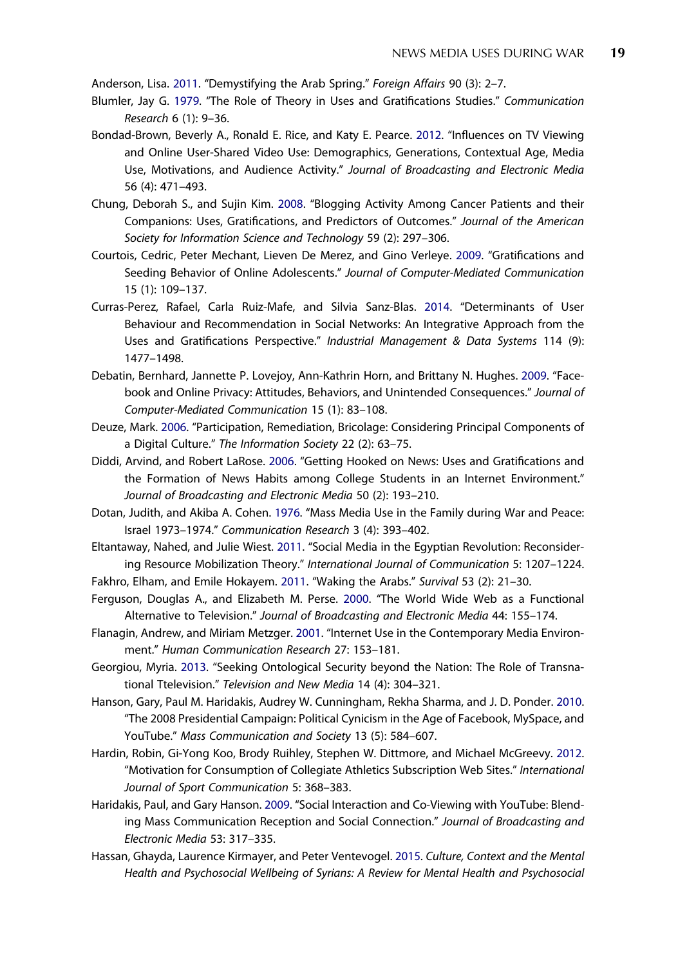<span id="page-19-0"></span>Anderson, Lisa. [2011](#page-7-0). "Demystifying the Arab Spring." Foreign Affairs 90 (3): 2–7.

- Blumler, Jay G. [1979.](#page-2-0) "The Role of Theory in Uses and Gratifications Studies." Communication Research 6 (1): 9–36.
- Bondad-Brown, Beverly A., Ronald E. Rice, and Katy E. Pearce. [2012](#page-3-0). "Influences on TV Viewing and Online User-Shared Video Use: Demographics, Generations, Contextual Age, Media Use, Motivations, and Audience Activity." Journal of Broadcasting and Electronic Media 56 (4): 471–493.
- Chung, Deborah S., and Sujin Kim. [2008.](#page-3-0) "Blogging Activity Among Cancer Patients and their Companions: Uses, Gratifications, and Predictors of Outcomes." Journal of the American Society for Information Science and Technology 59 (2): 297–306.
- Courtois, Cedric, Peter Mechant, Lieven De Merez, and Gino Verleye. [2009](#page-2-0). "Gratifications and Seeding Behavior of Online Adolescents." Journal of Computer-Mediated Communication 15 (1): 109–137.
- Curras-Perez, Rafael, Carla Ruiz-Mafe, and Silvia Sanz-Blas. [2014](#page-3-0). "Determinants of User Behaviour and Recommendation in Social Networks: An Integrative Approach from the Uses and Gratifications Perspective." Industrial Management & Data Systems 114 (9): 1477–1498.
- Debatin, Bernhard, Jannette P. Lovejoy, Ann-Kathrin Horn, and Brittany N. Hughes. [2009.](#page-3-0) "Facebook and Online Privacy: Attitudes, Behaviors, and Unintended Consequences." Journal of Computer-Mediated Communication 15 (1): 83–108.
- Deuze, Mark. [2006.](#page-2-0) "Participation, Remediation, Bricolage: Considering Principal Components of a Digital Culture." The Information Society 22 (2): 63–75.
- Diddi, Arvind, and Robert LaRose. [2006](#page-2-0). "Getting Hooked on News: Uses and Gratifications and the Formation of News Habits among College Students in an Internet Environment." Journal of Broadcasting and Electronic Media 50 (2): 193–210.
- Dotan, Judith, and Akiba A. Cohen. [1976](#page-1-0). "Mass Media Use in the Family during War and Peace: Israel 1973–1974." Communication Research 3 (4): 393–402.
- Eltantaway, Nahed, and Julie Wiest. [2011](#page-7-0). "Social Media in the Egyptian Revolution: Reconsidering Resource Mobilization Theory." International Journal of Communication 5: 1207–1224.
- Fakhro, Elham, and Emile Hokayem. [2011.](#page-7-0) "Waking the Arabs." Survival 53 (2): 21–30.
- Ferguson, Douglas A., and Elizabeth M. Perse. [2000](#page-2-0). "The World Wide Web as a Functional Alternative to Television." Journal of Broadcasting and Electronic Media 44: 155–174.
- Flanagin, Andrew, and Miriam Metzger. [2001.](#page-2-0) "Internet Use in the Contemporary Media Environment." Human Communication Research 27: 153–181.
- Georgiou, Myria. [2013](#page-1-0). "Seeking Ontological Security beyond the Nation: The Role of Transnational Ttelevision." Television and New Media 14 (4): 304–321.
- Hanson, Gary, Paul M. Haridakis, Audrey W. Cunningham, Rekha Sharma, and J. D. Ponder. [2010](#page-3-0). "The 2008 Presidential Campaign: Political Cynicism in the Age of Facebook, MySpace, and YouTube." Mass Communication and Society 13 (5): 584–607.
- Hardin, Robin, Gi-Yong Koo, Brody Ruihley, Stephen W. Dittmore, and Michael McGreevy. [2012](#page-2-0). "Motivation for Consumption of Collegiate Athletics Subscription Web Sites." International Journal of Sport Communication 5: 368–383.
- Haridakis, Paul, and Gary Hanson. [2009.](#page-2-0) "Social Interaction and Co-Viewing with YouTube: Blending Mass Communication Reception and Social Connection." Journal of Broadcasting and Electronic Media 53: 317–335.
- Hassan, Ghayda, Laurence Kirmayer, and Peter Ventevogel. [2015](#page-4-0). Culture, Context and the Mental Health and Psychosocial Wellbeing of Syrians: A Review for Mental Health and Psychosocial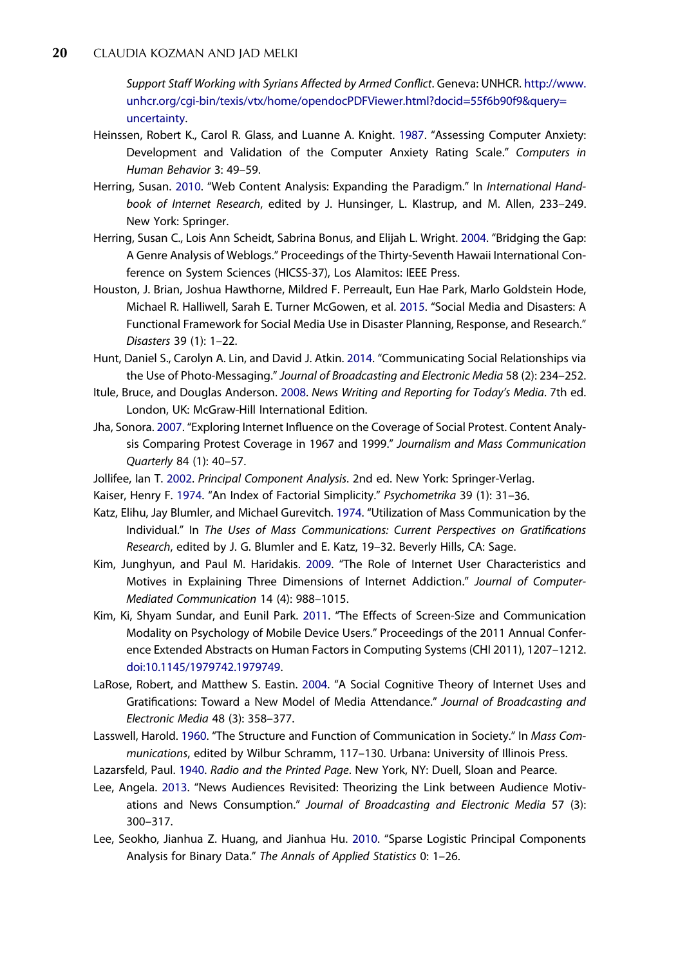<span id="page-20-0"></span>Support Staff Working with Syrians Affected by Armed Conflict. Geneva: UNHCR. [http://www.](http://www.unhcr.org/cgi-bin/texis/vtx/home/opendocPDFViewer.html?docid=55f6b90f9&query=uncertainty) [unhcr.org/cgi-bin/texis/vtx/home/opendocPDFViewer.html?docid=55f6b90f9&query=](http://www.unhcr.org/cgi-bin/texis/vtx/home/opendocPDFViewer.html?docid=55f6b90f9&query=uncertainty) [uncertainty.](http://www.unhcr.org/cgi-bin/texis/vtx/home/opendocPDFViewer.html?docid=55f6b90f9&query=uncertainty)

- Heinssen, Robert K., Carol R. Glass, and Luanne A. Knight. [1987.](#page-6-0) "Assessing Computer Anxiety: Development and Validation of the Computer Anxiety Rating Scale." Computers in Human Behavior 3: 49–59.
- Herring, Susan. [2010](#page-2-0). "Web Content Analysis: Expanding the Paradigm." In International Handbook of Internet Research, edited by J. Hunsinger, L. Klastrup, and M. Allen, 233–249. New York: Springer.
- Herring, Susan C., Lois Ann Scheidt, Sabrina Bonus, and Elijah L. Wright. [2004.](#page-8-0) "Bridging the Gap: A Genre Analysis of Weblogs." Proceedings of the Thirty-Seventh Hawaii International Conference on System Sciences (HICSS-37), Los Alamitos: IEEE Press.
- Houston, J. Brian, Joshua Hawthorne, Mildred F. Perreault, Eun Hae Park, Marlo Goldstein Hode, Michael R. Halliwell, Sarah E. Turner McGowen, et al. [2015](#page-3-0). "Social Media and Disasters: A Functional Framework for Social Media Use in Disaster Planning, Response, and Research." Disasters 39 (1): 1–22.
- Hunt, Daniel S., Carolyn A. Lin, and David J. Atkin. [2014.](#page-3-0) "Communicating Social Relationships via the Use of Photo-Messaging." Journal of Broadcasting and Electronic Media 58 (2): 234–252.
- Itule, Bruce, and Douglas Anderson. [2008.](#page-5-0) News Writing and Reporting for Today's Media. 7th ed. London, UK: McGraw-Hill International Edition.
- Jha, Sonora. [2007.](#page-7-0) "Exploring Internet Influence on the Coverage of Social Protest. Content Analysis Comparing Protest Coverage in 1967 and 1999." Journalism and Mass Communication Quarterly 84 (1): 40–57.
- Jollifee, Ian T. [2002.](#page-10-0) Principal Component Analysis. 2nd ed. New York: Springer-Verlag.
- Kaiser, Henry F. [1974.](#page-10-0) "An Index of Factorial Simplicity." Psychometrika 39 (1): 31–36.
- Katz, Elihu, Jay Blumler, and Michael Gurevitch. [1974](#page-2-0). "Utilization of Mass Communication by the Individual." In The Uses of Mass Communications: Current Perspectives on Gratifications Research, edited by J. G. Blumler and E. Katz, 19–32. Beverly Hills, CA: Sage.
- Kim, Junghyun, and Paul M. Haridakis. [2009](#page-2-0). "The Role of Internet User Characteristics and Motives in Explaining Three Dimensions of Internet Addiction." Journal of Computer-Mediated Communication 14 (4): 988–1015.
- Kim, Ki, Shyam Sundar, and Eunil Park. [2011.](#page-3-0) "The Effects of Screen-Size and Communication Modality on Psychology of Mobile Device Users." Proceedings of the 2011 Annual Conference Extended Abstracts on Human Factors in Computing Systems (CHI 2011), 1207–1212. [doi:10.1145/1979742.1979749](http://dx.doi.org/10.1145/1979742.1979749).
- LaRose, Robert, and Matthew S. Eastin. [2004](#page-4-0). "A Social Cognitive Theory of Internet Uses and Gratifications: Toward a New Model of Media Attendance." Journal of Broadcasting and Electronic Media 48 (3): 358–377.
- Lasswell, Harold. [1960](#page-4-0). "The Structure and Function of Communication in Society." In Mass Communications, edited by Wilbur Schramm, 117–130. Urbana: University of Illinois Press.
- Lazarsfeld, Paul. [1940.](#page-2-0) Radio and the Printed Page. New York, NY: Duell, Sloan and Pearce.
- Lee, Angela. [2013](#page-4-0). "News Audiences Revisited: Theorizing the Link between Audience Motivations and News Consumption." Journal of Broadcasting and Electronic Media 57 (3): 300–317.
- Lee, Seokho, Jianhua Z. Huang, and Jianhua Hu. [2010.](#page-10-0) "Sparse Logistic Principal Components Analysis for Binary Data." The Annals of Applied Statistics 0: 1–26.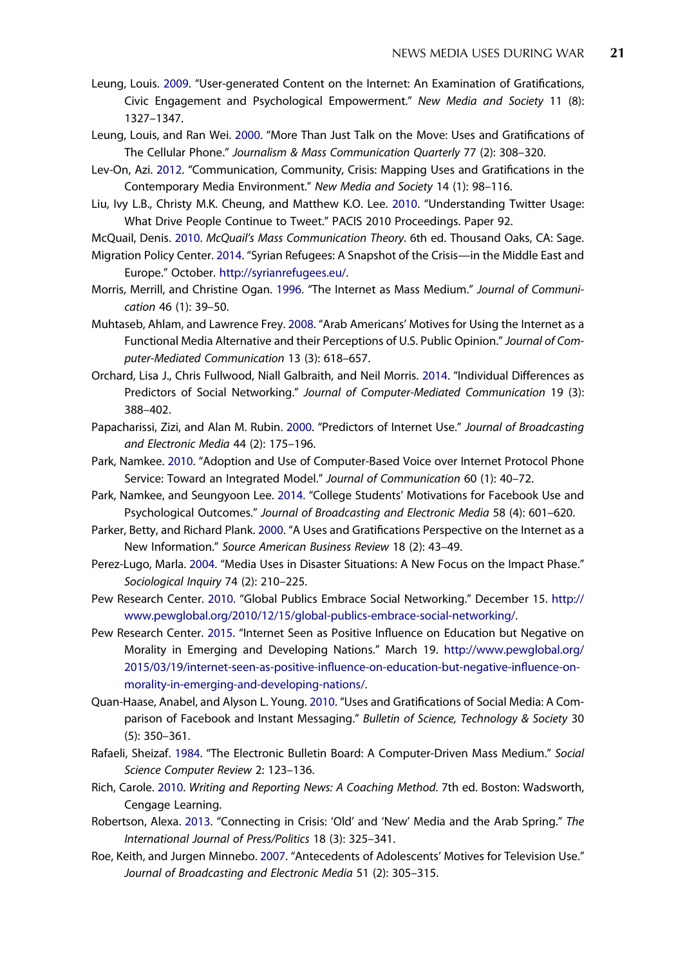- <span id="page-21-0"></span>Leung, Louis. [2009](#page-2-0). "User-generated Content on the Internet: An Examination of Gratifications, Civic Engagement and Psychological Empowerment." New Media and Society 11 (8): 1327–1347.
- Leung, Louis, and Ran Wei. [2000](#page-3-0). "More Than Just Talk on the Move: Uses and Gratifications of The Cellular Phone." Journalism & Mass Communication Quarterly 77 (2): 308–320.
- Lev-On, Azi. [2012](#page-1-0). "Communication, Community, Crisis: Mapping Uses and Gratifications in the Contemporary Media Environment." New Media and Society 14 (1): 98–116.
- Liu, Ivy L.B., Christy M.K. Cheung, and Matthew K.O. Lee. [2010.](#page-3-0) "Understanding Twitter Usage: What Drive People Continue to Tweet." PACIS 2010 Proceedings. Paper 92.
- McQuail, Denis. [2010.](#page-2-0) McQuail's Mass Communication Theory. 6th ed. Thousand Oaks, CA: Sage.
- Migration Policy Center. [2014.](#page-1-0) "Syrian Refugees: A Snapshot of the Crisis—in the Middle East and Europe." October. [http://syrianrefugees.eu/.](http://syrianrefugees.eu/)
- Morris, Merrill, and Christine Ogan. [1996](#page-3-0). "The Internet as Mass Medium." Journal of Communication 46 (1): 39–50.
- Muhtaseb, Ahlam, and Lawrence Frey. [2008](#page-2-0). "Arab Americans' Motives for Using the Internet as a Functional Media Alternative and their Perceptions of U.S. Public Opinion." Journal of Computer-Mediated Communication 13 (3): 618–657.
- Orchard, Lisa J., Chris Fullwood, Niall Galbraith, and Neil Morris. [2014.](#page-3-0) "Individual Differences as Predictors of Social Networking." Journal of Computer-Mediated Communication 19 (3): 388–402.
- Papacharissi, Zizi, and Alan M. Rubin. [2000.](#page-2-0) "Predictors of Internet Use." Journal of Broadcasting and Electronic Media 44 (2): 175–196.
- Park, Namkee. [2010](#page-3-0). "Adoption and Use of Computer-Based Voice over Internet Protocol Phone Service: Toward an Integrated Model." Journal of Communication 60 (1): 40–72.
- Park, Namkee, and Seungyoon Lee. [2014](#page-3-0). "College Students' Motivations for Facebook Use and Psychological Outcomes." Journal of Broadcasting and Electronic Media 58 (4): 601–620.
- Parker, Betty, and Richard Plank. [2000](#page-2-0). "A Uses and Gratifications Perspective on the Internet as a New Information." Source American Business Review 18 (2): 43–49.
- Perez-Lugo, Marla. [2004](#page-3-0). "Media Uses in Disaster Situations: A New Focus on the Impact Phase." Sociological Inquiry 74 (2): 210–225.
- Pew Research Center. [2010.](#page-6-0) "Global Publics Embrace Social Networking." December 15. [http://](http://www.pewglobal.org/2010/12/15/global-publics-embrace-social-networking/) [www.pewglobal.org/2010/12/15/global-publics-embrace-social-networking/](http://www.pewglobal.org/2010/12/15/global-publics-embrace-social-networking/).
- Pew Research Center. [2015](#page-6-0). "Internet Seen as Positive Influence on Education but Negative on Morality in Emerging and Developing Nations." March 19. [http://www.pewglobal.org/](http://www.pewglobal.org/2015/03/19/internet-seen-as-positive-influence-on-education-but-negative-influence-on-morality-in-emerging-and-developing-nations/) [2015/03/19/internet-seen-as-positive-in](http://www.pewglobal.org/2015/03/19/internet-seen-as-positive-influence-on-education-but-negative-influence-on-morality-in-emerging-and-developing-nations/)fluence-on-education-but-negative-influence-on[morality-in-emerging-and-developing-nations/.](http://www.pewglobal.org/2015/03/19/internet-seen-as-positive-influence-on-education-but-negative-influence-on-morality-in-emerging-and-developing-nations/)
- Quan-Haase, Anabel, and Alyson L. Young. [2010.](#page-3-0) "Uses and Gratifications of Social Media: A Comparison of Facebook and Instant Messaging." Bulletin of Science, Technology & Society 30 (5): 350–361.
- Rafaeli, Sheizaf. [1984.](#page-3-0) "The Electronic Bulletin Board: A Computer-Driven Mass Medium." Social Science Computer Review 2: 123–136.
- Rich, Carole. [2010](#page-5-0). Writing and Reporting News: A Coaching Method. 7th ed. Boston: Wadsworth, Cengage Learning.
- Robertson, Alexa. [2013](#page-7-0). "Connecting in Crisis: 'Old' and 'New' Media and the Arab Spring." The International Journal of Press/Politics 18 (3): 325–341.
- Roe, Keith, and Jurgen Minnebo. [2007.](#page-5-0) "Antecedents of Adolescents' Motives for Television Use." Journal of Broadcasting and Electronic Media 51 (2): 305–315.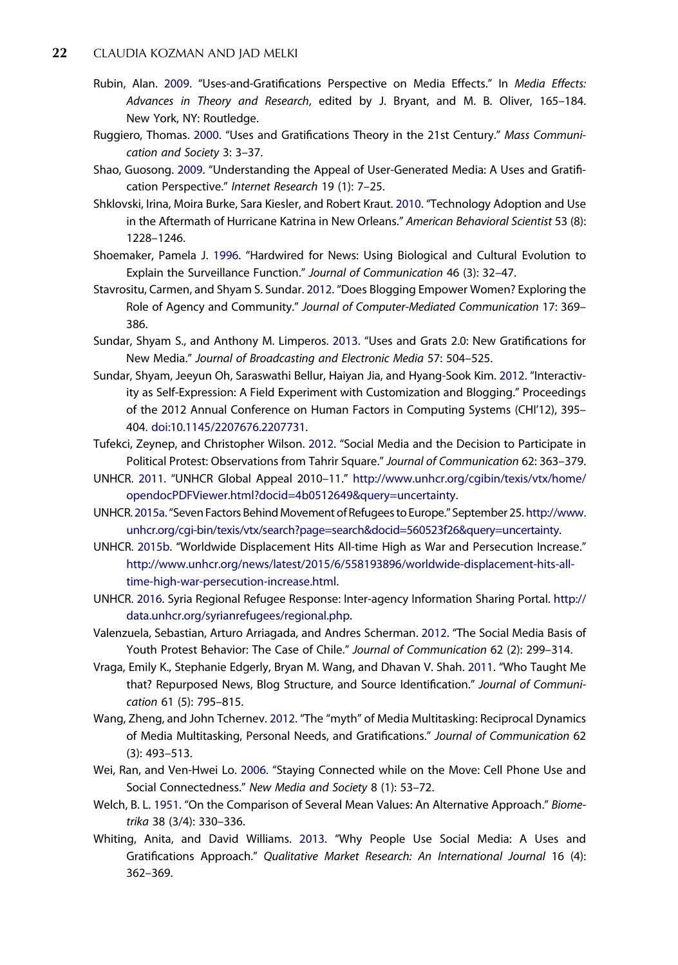- <span id="page-22-0"></span>Rubin, Alan. [2009.](#page-2-0) "Uses-and-Gratifications Perspective on Media Effects." In Media Effects: Advances in Theory and Research, edited by J. Bryant, and M. B. Oliver, 165–184. New York, NY: Routledge.
- Ruggiero, Thomas. [2000](#page-2-0). "Uses and Gratifications Theory in the 21st Century." Mass Communication and Society 3: 3–37.
- Shao, Guosong. [2009.](#page-2-0) "Understanding the Appeal of User-Generated Media: A Uses and Gratification Perspective." Internet Research 19 (1): 7–25.
- Shklovski, Irina, Moira Burke, Sara Kiesler, and Robert Kraut. [2010](#page-3-0). "Technology Adoption and Use in the Aftermath of Hurricane Katrina in New Orleans." American Behavioral Scientist 53 (8): 1228–1246.
- Shoemaker, Pamela J. [1996.](#page-4-0) "Hardwired for News: Using Biological and Cultural Evolution to Explain the Surveillance Function." Journal of Communication 46 (3): 32–47.
- Stavrositu, Carmen, and Shyam S. Sundar. [2012.](#page-8-0) "Does Blogging Empower Women? Exploring the Role of Agency and Community." Journal of Computer-Mediated Communication 17: 369– 386.
- Sundar, Shyam S., and Anthony M. Limperos. [2013.](#page-2-0) "Uses and Grats 2.0: New Gratifications for New Media." Journal of Broadcasting and Electronic Media 57: 504–525.
- Sundar, Shyam, Jeeyun Oh, Saraswathi Bellur, Haiyan Jia, and Hyang-Sook Kim. [2012.](#page-2-0) "Interactivity as Self-Expression: A Field Experiment with Customization and Blogging." Proceedings of the 2012 Annual Conference on Human Factors in Computing Systems (CHI'12), 395– 404. [doi:10.1145/2207676.2207731](http://dx.doi.org/10.1145/2207676.2207731).
- Tufekci, Zeynep, and Christopher Wilson. [2012.](#page-7-0) "Social Media and the Decision to Participate in Political Protest: Observations from Tahrir Square." Journal of Communication 62: 363–379.
- UNHCR. [2011](#page-4-0). "UNHCR Global Appeal 2010–11." [http://www.unhcr.org/cgibin/texis/vtx/home/](http://www.unhcr.org/cgibin/texis/vtx/home/opendocPDFViewer.html?docid=4b0512649&query=uncertainty) [opendocPDFViewer.html?docid=4b0512649&query=uncertainty.](http://www.unhcr.org/cgibin/texis/vtx/home/opendocPDFViewer.html?docid=4b0512649&query=uncertainty)
- UNHCR. [2015a.](#page-4-0)"Seven Factors Behind Movement of Refugees to Europe." September 25. [http://www.](http://www.unhcr.org/cgi-bin/texis/vtx/search?page=search&docid=560523f26&query=uncertainty) [unhcr.org/cgi-bin/texis/vtx/search?page=search&docid=560523f26&query=uncertainty.](http://www.unhcr.org/cgi-bin/texis/vtx/search?page=search&docid=560523f26&query=uncertainty)
- UNHCR. [2015b](#page-1-0). "Worldwide Displacement Hits All-time High as War and Persecution Increase." [http://www.unhcr.org/news/latest/2015/6/558193896/worldwide-displacement-hits-all](http://www.unhcr.org/news/latest/2015/6/558193896/worldwide-displacement-hits-all-time-high-war-persecution-increase.html)[time-high-war-persecution-increase.html.](http://www.unhcr.org/news/latest/2015/6/558193896/worldwide-displacement-hits-all-time-high-war-persecution-increase.html)
- UNHCR. [2016.](#page-4-0) Syria Regional Refugee Response: Inter-agency Information Sharing Portal. [http://](http://data.unhcr.org/syrianrefugees/regional.php) [data.unhcr.org/syrianrefugees/regional.php.](http://data.unhcr.org/syrianrefugees/regional.php)
- Valenzuela, Sebastian, Arturo Arriagada, and Andres Scherman. [2012](#page-2-0). "The Social Media Basis of Youth Protest Behavior: The Case of Chile." Journal of Communication 62 (2): 299-314.
- Vraga, Emily K., Stephanie Edgerly, Bryan M. Wang, and Dhavan V. Shah. [2011.](#page-3-0) "Who Taught Me that? Repurposed News, Blog Structure, and Source Identification." Journal of Communication 61 (5): 795–815.
- Wang, Zheng, and John Tchernev. [2012.](#page-2-0) "The "myth" of Media Multitasking: Reciprocal Dynamics of Media Multitasking, Personal Needs, and Gratifications." Journal of Communication 62 (3): 493–513.
- Wei, Ran, and Ven-Hwei Lo. [2006.](#page-2-0) "Staying Connected while on the Move: Cell Phone Use and Social Connectedness." New Media and Society 8 (1): 53–72.
- Welch, B. L. [1951](#page-15-0). "On the Comparison of Several Mean Values: An Alternative Approach." Biometrika 38 (3/4): 330–336.
- Whiting, Anita, and David Williams. [2013](#page-3-0). "Why People Use Social Media: A Uses and Gratifications Approach." Qualitative Market Research: An International Journal 16 (4): 362–369.